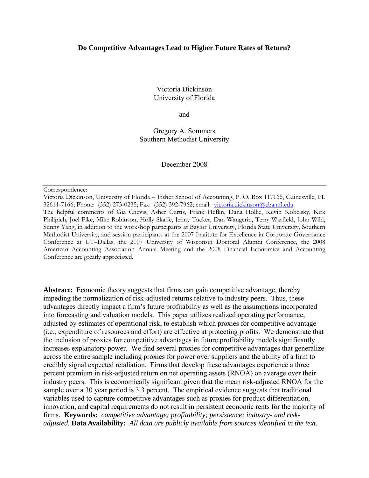#### **Do Competitive Advantages Lead to Higher Future Rates of Return?**

Victoria Dickinson University of Florida

and

Gregory A. Sommers Southern Methodist University

December 2008

Correspondence:

Victoria Dickinson, University of Florida – Fisher School of Accounting, P. O. Box 117166, Gainesville, FL 32611-7166; Phone: (352) 273-0235; Fax: (352) 392-7962; email: [victoria.dickinson@cba.ufl.edu.](mailto:vldickinson@wisc.edu)

The helpful comments of Gia Chevis, Asher Curtis, Frank Heflin, Dana Hollie, Kevin Kobelsky, Kirk Philipich, Joel Pike, Mike Robinson, Holly Skaife, Jenny Tucker, Dan Wangerin, Terry Warfield, John Wild, Sunny Yang, in addition to the workshop participants at Baylor University, Florida State University, Southern Methodist University, and session participants at the 2007 Institute for Excellence in Corporate Governance Conference at UT–Dallas, the 2007 University of Wisconsin Doctoral Alumni Conference, the 2008 American Accounting Association Annual Meeting and the 2008 Financial Economics and Accounting Conference are greatly appreciated.

**Abstract:** Economic theory suggests that firms can gain competitive advantage, thereby impeding the normalization of risk-adjusted returns relative to industry peers. Thus, these advantages directly impact a firm's future profitability as well as the assumptions incorporated into forecasting and valuation models. This paper utilizes realized operating performance, adjusted by estimates of operational risk, to establish which proxies for competitive advantage (i.e., expenditure of resources and effort) are effective at protecting profits. We demonstrate that the inclusion of proxies for competitive advantages in future profitability models significantly increases explanatory power. We find several proxies for competitive advantages that generalize across the entire sample including proxies for power over suppliers and the ability of a firm to credibly signal expected retaliation. Firms that develop these advantages experience a three percent premium in risk-adjusted return on net operating assets (RNOA) on average over their industry peers. This is economically significant given that the mean risk-adjusted RNOA for the sample over a 30 year period is 3.3 percent. The empirical evidence suggests that traditional variables used to capture competitive advantages such as proxies for product differentiation, innovation, and capital requirements do not result in persistent economic rents for the majority of firms. **Keywords:** *competitive advantage; profitability; persistence; industry- and riskadjusted.* **Data Availability:** *All data are publicly available from sources identified in the text.*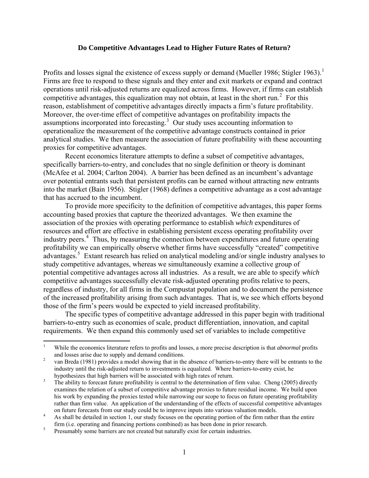#### **Do Competitive Advantages Lead to Higher Future Rates of Return?**

<span id="page-1-0"></span>Profits and losses signal the existence of excess supply or demand (Mueller [1](#page-1-0)986; Stigler 1963).<sup>1</sup> Firms are free to respond to these signals and they enter and exit markets or expand and contract operations until risk-adjusted returns are equalized across firms. However, if firms can establish competitive advantages, this equalization may not obtain, at least in the short run.<sup>[2](#page-1-1)</sup> For this reason, establishment of competitive advantages directly impacts a firm's future profitability. Moreover, the over-time effect of competitive advantages on profitability impacts the assumptions incorporated into forecasting.<sup>[3](#page-1-2)</sup> Our study uses accounting information to operationalize the measurement of the competitive advantage constructs contained in prior analytical studies. We then measure the association of future profitability with these accounting proxies for competitive advantages.

Recent economics literature attempts to define a subset of competitive advantages, specifically barriers-to-entry, and concludes that no single definition or theory is dominant (McAfee et al. 2004; Carlton 2004). A barrier has been defined as an incumbent's advantage over potential entrants such that persistent profits can be earned without attracting new entrants into the market (Bain 1956). Stigler (1968) defines a competitive advantage as a cost advantage that has accrued to the incumbent.

To provide more specificity to the definition of competitive advantages, this paper forms accounting based proxies that capture the theorized advantages. We then examine the association of the proxies with operating performance to establish *which* expenditures of resources and effort are effective in establishing persistent excess operating profitability over industry peers.<sup>[4](#page-1-3)</sup> Thus, by measuring the connection between expenditures and future operating profitability we can empirically observe whether firms have successfully "created" competitive advantages.<sup>[5](#page-1-4)</sup> Extant research has relied on analytical modeling and/or single industry analyses to study competitive advantages, whereas we simultaneously examine a collective group of potential competitive advantages across all industries. As a result, we are able to specify *which* competitive advantages successfully elevate risk-adjusted operating profits relative to peers, regardless of industry, for all firms in the Compustat population and to document the persistence of the increased profitability arising from such advantages. That is, we see which efforts beyond those of the firm's peers would be expected to yield increased profitability.

The specific types of competitive advantage addressed in this paper begin with traditional barriers-to-entry such as economies of scale, product differentiation, innovation, and capital requirements. We then expand this commonly used set of variables to include competitive

 $\frac{1}{1}$  While the economics literature refers to profits and losses, a more precise description is that *abnormal* profits and losses arise due to supply and demand conditions.

<span id="page-1-1"></span>van Breda (1981) provides a model showing that in the absence of barriers-to-entry there will be entrants to the industry until the risk-adjusted return to investments is equalized. Where barriers-to-entry exist, he hypothesizes that high barriers will be associated with high rates of return.

<span id="page-1-2"></span>The ability to forecast future profitability is central to the determination of firm value. Cheng (2005) directly examines the relation of a subset of competitive advantage proxies to future residual income. We build upon his work by expanding the proxies tested while narrowing our scope to focus on future operating profitability rather than firm value. An application of the understanding of the effects of successful competitive advantages on future forecasts from our study could be to improve inputs into various valuation models.

<span id="page-1-3"></span>As shall be detailed in section 1, our study focuses on the operating portion of the firm rather than the entire firm (i.e. operating and financing portions combined) as has been done in prior research.<br> **Example 18** Presumably some barriers are not created by naturally exist for certain industries

<span id="page-1-4"></span>Presumably some barriers are not created but naturally exist for certain industries.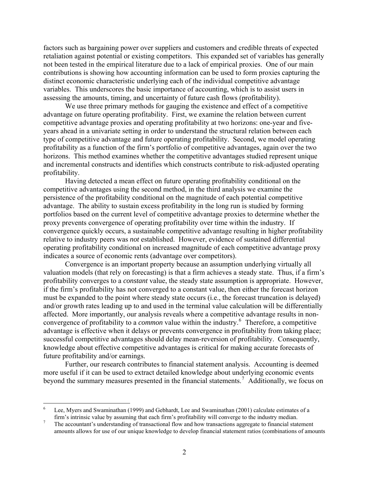factors such as bargaining power over suppliers and customers and credible threats of expected retaliation against potential or existing competitors. This expanded set of variables has generally not been tested in the empirical literature due to a lack of empirical proxies. One of our main contributions is showing how accounting information can be used to form proxies capturing the distinct economic characteristic underlying each of the individual competitive advantage variables. This underscores the basic importance of accounting, which is to assist users in assessing the amounts, timing, and uncertainty of future cash flows (profitability).

We use three primary methods for gauging the existence and effect of a competitive advantage on future operating profitability. First, we examine the relation between current competitive advantage proxies and operating profitability at two horizons: one-year and fiveyears ahead in a univariate setting in order to understand the structural relation between each type of competitive advantage and future operating profitability. Second, we model operating profitability as a function of the firm's portfolio of competitive advantages, again over the two horizons. This method examines whether the competitive advantages studied represent unique and incremental constructs and identifies which constructs contribute to risk-adjusted operating profitability.

Having detected a mean effect on future operating profitability conditional on the competitive advantages using the second method, in the third analysis we examine the persistence of the profitability conditional on the magnitude of each potential competitive advantage. The ability to sustain excess profitability in the long run is studied by forming portfolios based on the current level of competitive advantage proxies to determine whether the proxy prevents convergence of operating profitability over time within the industry. If convergence quickly occurs, a sustainable competitive advantage resulting in higher profitability relative to industry peers was *not* established. However, evidence of sustained differential operating profitability conditional on increased magnitude of each competitive advantage proxy indicates a source of economic rents (advantage over competitors).

Convergence is an important property because an assumption underlying virtually all valuation models (that rely on forecasting) is that a firm achieves a steady state. Thus, if a firm's profitability converges to a *constant* value, the steady state assumption is appropriate. However, if the firm's profitability has not converged to a constant value, then either the forecast horizon must be expanded to the point where steady state occurs (i.e., the forecast truncation is delayed) and/or growth rates leading up to and used in the terminal value calculation will be differentially affected. More importantly, our analysis reveals where a competitive advantage results in nonconvergence of profitability to a *common* value within the industry.<sup>[6](#page-2-0)</sup> Therefore, a competitive advantage is effective when it delays or prevents convergence in profitability from taking place; successful competitive advantages should delay mean-reversion of profitability. Consequently, knowledge about effective competitive advantages is critical for making accurate forecasts of future profitability and/or earnings.

Further, our research contributes to financial statement analysis. Accounting is deemed more useful if it can be used to extract detailed knowledge about underlying economic events beyond the summary measures presented in the financial statements.<sup>[7](#page-2-1)</sup> Additionally, we focus on

 $\overline{a}$ 

<sup>6</sup> Lee, Myers and Swaminathan (1999) and Gebhardt, Lee and Swaminathan (2001) calculate estimates of a firm's intrinsic value by assuming that each firm's profitability will converge to the industry median. 7

<span id="page-2-1"></span><span id="page-2-0"></span>The accountant's understanding of transactional flow and how transactions aggregate to financial statement amounts allows for use of our unique knowledge to develop financial statement ratios (combinations of amounts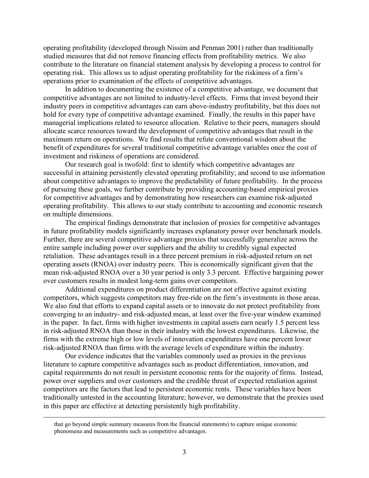operating profitability (developed through Nissim and Penman 2001) rather than traditionally studied measures that did not remove financing effects from profitability metrics. We also contribute to the literature on financial statement analysis by developing a process to control for operating risk. This allows us to adjust operating profitability for the riskiness of a firm's operations prior to examination of the effects of competitive advantages.

In addition to documenting the existence of a competitive advantage, we document that competitive advantages are not limited to industry-level effects. Firms that invest beyond their industry peers in competitive advantages can earn above-industry profitability, but this does not hold for every type of competitive advantage examined. Finally, the results in this paper have managerial implications related to resource allocation. Relative to their peers, managers should allocate scarce resources toward the development of competitive advantages that result in the maximum return on operations. We find results that refute conventional wisdom about the benefit of expenditures for several traditional competitive advantage variables once the cost of investment and riskiness of operations are considered.

Our research goal is twofold: first to identify which competitive advantages are successful in attaining persistently elevated operating profitability; and second to use information about competitive advantages to improve the predictability of future profitability. In the process of pursuing these goals, we further contribute by providing accounting-based empirical proxies for competitive advantages and by demonstrating how researchers can examine risk-adjusted operating profitability. This allows to our study contribute to accounting and economic research on multiple dimensions.

The empirical findings demonstrate that inclusion of proxies for competitive advantages in future profitability models significantly increases explanatory power over benchmark models. Further, there are several competitive advantage proxies that successfully generalize across the entire sample including power over suppliers and the ability to credibly signal expected retaliation. These advantages result in a three percent premium in risk-adjusted return on net operating assets (RNOA) over industry peers. This is economically significant given that the mean risk-adjusted RNOA over a 30 year period is only 3.3 percent. Effective bargaining power over customers results in modest long-term gains over competitors.

Additional expenditures on product differentiation are not effective against existing competitors, which suggests competitors may free-ride on the firm's investments in those areas. We also find that efforts to expand capital assets or to innovate do not protect profitability from converging to an industry- and risk-adjusted mean, at least over the five-year window examined in the paper. In fact, firms with higher investments in capital assets earn nearly 1.5 percent less in risk-adjusted RNOA than those in their industry with the lowest expenditures. Likewise, the firms with the extreme high or low levels of innovation expenditures have one percent lower risk-adjusted RNOA than firms with the average levels of expenditure within the industry.

Our evidence indicates that the variables commonly used as proxies in the previous literature to capture competitive advantages such as product differentiation, innovation, and capital requirements do not result in persistent economic rents for the majority of firms. Instead, power over suppliers and over customers and the credible threat of expected retaliation against competitors are the factors that lead to persistent economic rents. These variables have been traditionally untested in the accounting literature; however, we demonstrate that the proxies used in this paper are effective at detecting persistently high profitability.

that go beyond simple summary measures from the financial statements) to capture unique economic phenomena and measurements such as competitive advantages.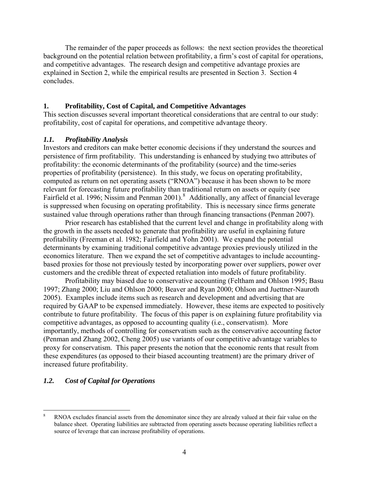The remainder of the paper proceeds as follows: the next section provides the theoretical background on the potential relation between profitability, a firm's cost of capital for operations, and competitive advantages. The research design and competitive advantage proxies are explained in Section 2, while the empirical results are presented in Section 3. Section 4 concludes.

#### **1. Profitability, Cost of Capital, and Competitive Advantages**

This section discusses several important theoretical considerations that are central to our study: profitability, cost of capital for operations, and competitive advantage theory.

#### *1.1. Profitability Analysis*

Investors and creditors can make better economic decisions if they understand the sources and persistence of firm profitability. This understanding is enhanced by studying two attributes of profitability: the economic determinants of the profitability (source) and the time-series properties of profitability (persistence). In this study, we focus on operating profitability, computed as return on net operating assets ("RNOA") because it has been shown to be more relevant for forecasting future profitability than traditional return on assets or equity (see Fairfield et al. 1996; Nissim and Penman 2001).<sup>[8](#page-4-0)</sup> Additionally, any affect of financial leverage is suppressed when focusing on operating profitability. This is necessary since firms generat e sustained value through operations rather than through financing transactions (Penman 2007).

Prior research has established that the current level and change in profitability along with the growth in the assets needed to generate that profitability are useful in explaining future profitability (Freeman et al. 1982; Fairfield and Yohn 2001). We expand the potential determinants by examining traditional competitive advantage proxies previously utilized in the economics literature. Then we expand the set of competitive advantages to include accountingbased proxies for those not previously tested by incorporating power over suppliers, power over customers and the credible threat of expected retaliation into models of future profitability.

Profitability may biased due to conservative accounting (Feltham and Ohlson 1995; Basu 1997; Zhang 2000; Liu and Ohlson 2000; Beaver and Ryan 2000; Ohlson and Juettner-Nauroth 2005). Examples include items such as research and development and advertising that are required by GAAP to be expensed immediately. However, these items are expected to positively contribute to future profitability. The focus of this paper is on explaining future profitability via competitive advantages, as opposed to accounting quality (i.e., conservatism). More importantly, methods of controlling for conservatism such as the conservative accounting factor (Penman and Zhang 2002, Cheng 2005) use variants of our competitive advantage variables to proxy for conservatism. This paper presents the notion that the economic rents that result from these expenditures (as opposed to their biased accounting treatment) are the primary driver of increased future profitability.

#### *1.2. Cost of Capital for Operations*

<span id="page-4-0"></span> 8 RNOA excludes financial assets from the denominator since they are already valued at their fair value on the balance sheet. Operating liabilities are subtracted from operating assets because operating liabilities reflect a source of leverage that can increase profitability of operations.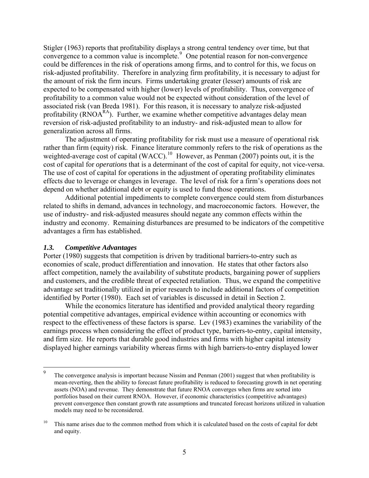Stigler (1963) reports that profitability displays a strong central tendency over time, but that convergence to a common value is incomplete.<sup>[9](#page-5-0)</sup> One potential reason for non-convergence could be differences in the risk of operations among firms, and to control for this, we focus on risk-adjusted profitability. Therefore in analyzing firm profitability, it is necessary to adjust for the amount of risk the firm incurs. Firms undertaking greater (lesser) amounts of risk are expected to be compensated with higher (lower) levels of profitability. Thus, convergence of profitability to a common value would not be expected without consideration of the level of associated risk (van Breda 1981). For this reason, it is necessary to analyze risk-adjuste d profitability  $(RNOA<sup>RA</sup>)$ . Further, we examine whether competitive advantages delay mean reversion of risk-adjusted profitability to an industry- and risk-adjusted mean to allow for generaliz ation across all firms.

The adjustment of operating profitability for risk must use a measure of operational risk rather than firm (equity) risk. Finance literature commonly refers to the risk of operations as the weighted-average cost of capital (WACC).<sup>[10](#page-5-1)</sup> However, as Penman (2007) points out, it is the cost of capital for *operations* that is a determinant of the cost of capital for equity, not vice-versa. The use of cost of capital for operations in the adjustment of operating profitability eliminates effects due to leverage or changes in leverage. The level of risk for a firm's operations does not depend on whether additional debt or equity is used to fund those operations.

Additional potential impediments to complete convergence could stem from disturbances related to shifts in demand, advances in technology, and macroeconomic factors. However, the use of industry- and risk-adjusted measures should negate any common effects within the industry and economy. Remaining disturbances are presumed to be indicators of the competitive advantages a firm has established.

# *1.3. Competitive Advantages*

 $\overline{a}$ 

Porter (1980) suggests that competition is driven by traditional barriers-to-entry such as economies of scale, product differentiation and innovation. He states that other factors also affect competition, namely the availability of substitute products, bargaining power of suppliers and customers, and the credible threat of expected retaliation. Thus, we expand the competitive advantage set traditionally utilized in prior research to include additional factors of competition identified by Porter (1980). Each set of variables is discussed in detail in Section 2.

While the economics literature has identified and provided analytical theory regarding potential competitive advantages, empirical evidence within accounting or economics with respect to the effectiveness of these factors is sparse. Lev (1983) examines the variability of the earnings process when considering the effect of product type, barriers-to-entry, capital intensity, and firm size. He reports that durable good industries and firms with higher capital intensity displayed higher earnings variability whereas firms with high barriers-to-entry displayed lower

<span id="page-5-0"></span><sup>9</sup> The convergence analysis is important because Nissim and Penman (2001) suggest that when profitability is mean-reverting, then the ability to forecast future profitability is reduced to forecasting growth in net operating assets (NOA) and revenue. They demonstrate that future RNOA converges when firms are sorted into portfolios based on their current RNOA. However, if economic characteristics (competitive advantages) prevent convergence then constant growth rate assumptions and truncated forecast horizons utilized in valuation models may need to be reconsidered.

<span id="page-5-1"></span><sup>&</sup>lt;sup>10</sup> This name arises due to the common method from which it is calculated based on the costs of capital for debt and equity.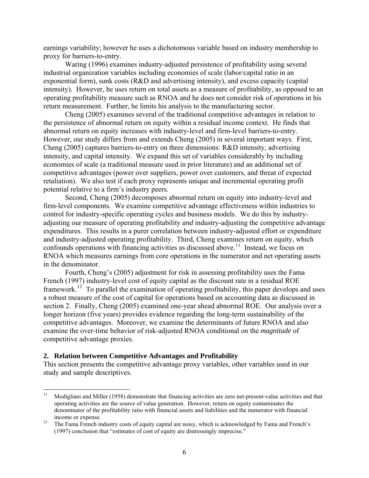<span id="page-6-0"></span>earnings variability; however he uses a dichotomous variable based on industry membership to proxy for barriers-to-entry.

Waring (1996) examines industry-adjusted persistence of profitability using several industrial organization variables including economies of scale (labor/capital ratio in an exponential form), sunk costs (R&D and advertising intensity), and excess capacity (capital intensity). However, he uses return on total assets as a measure of profitability, as opposed to an operating profitability measure such as RNOA and he does not consider risk of operations in his return measurement. Further, he limits his analysis to the manufacturing sector.

Cheng (2005) examines several of the traditional competitive advantages in relation to the persistence of abnormal return on equity within a residual income context. He finds that abnormal return on equity increases with industry-level and firm-level barriers-to-entry. However, our study differs from and extends Cheng (2005) in several important ways. First, Cheng (2005) captures barriers-to-entry on three dimensions: R&D intensity, advertising intensity, and capital intensity. We expand this set of variables considerably by including economies of scale (a traditional measure used in prior literature) and an additional set of competitive advantages (power over suppliers, power over customers, and threat of expected retaliation). We also test if each proxy represents unique and incremental operating profit potential relative to a firm's industry peers.

Second, Cheng (2005) decomposes abnormal return on equity into industry-level and firm-level components. We examine competitive advantage effectiveness within industries to control for industry-specific operating cycles and business models. We do this by industryadjusting our measure of operating profitability *and* industry-adjusting the competitive advantage expenditures. This results in a purer correlation between industry-adjusted effort or expenditure and industry-adjusted operating profitability. Third, Cheng examines return on equity, which confounds operations with financing activities as discussed above.<sup>[11](#page-6-0)</sup> Instead, we focus on RNOA which measures earnings from core operations in the numerator and net operating assets in the denominator.

Fourth, Cheng's (2005) adjustment for risk in assessing profitability uses the Fama French (1997) industry-level cost of equity capital as the discount rate in a residual ROE framework.<sup>[12](#page-6-0)</sup> To parallel the examination of operating profitability, this paper develops and uses a robust measure of the cost of capital for operations based on accounting data as discussed in section 2. Finally, Cheng (2005) examined one-year ahead abnormal ROE. Our analysis over a longer horizon (five years) provides evidence regarding the long-term sustainability of the competitive advantages. Moreover, we examine the determinants of future RNOA and also examine the over-time behavior of risk-adjusted RNOA conditional on the *magnitude* of competitive advantage proxies.

#### **2. Relation between Competitive Advantages and Profitability**

This section presents the competitive advantage proxy variables, other variables used in our study and sample descriptives.

 $11$ 11 Modigliani and Miller (1958) demonstrate that financing activities are zero net-present-value activities and that operating activities are the source of value generation. However, return on equity contaminates the denominator of the profitability ratio with financial assets and liabilities and the numerator with financial income or expense.<br><sup>12</sup> The Fama French industry costs of equity capital are noisy, which is acknowledged by Fama and French's

<sup>(1997)</sup> conclusion that "estimates of cost of equity are distressingly imprecise."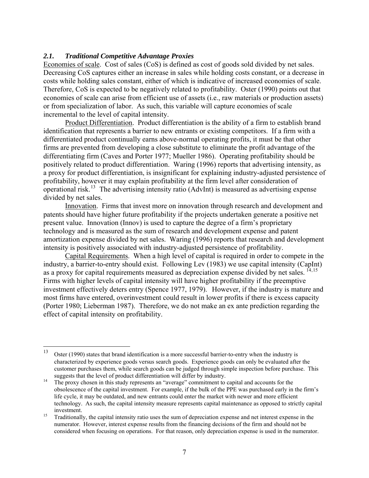#### <span id="page-7-0"></span>*2.1. Traditional Competitive Advantage Proxies*

Economies of scale. Cost of sales (CoS) is defined as cost of goods sold divided by net sales. Decreasing CoS captures either an increase in sales while holding costs constant, or a decrease in costs while holding sales constant, either of which is indicative of increased economies of scale. Therefore, CoS is expected to be negatively related to profitability. Oster (1990) points out that economies of scale can arise from efficient use of assets (i.e., raw materials or production assets) or from specialization of labor. As such, this variable will capture economies of scale incremental to the level of capital intensity.

Product Differentiation. Product differentiation is the ability of a firm to establish brand identification that represents a barrier to new entrants or existing competitors. If a firm with a differentiated product continually earns above-normal operating profits, it must be that other firms are prevented from developing a close substitute to eliminate the profit advantage of the differentiating firm (Caves and Porter 1977; Mueller 1986). Operating profitability should be positively related to product differentiation. Waring (1996) reports that advertising intensity, as a proxy for product differentiation, is insignificant for explaining industry-adjusted persistence of profitability, however it may explain profitability at the firm level after consideration of operational risk.<sup>[13](#page-7-0)</sup> The advertising intensity ratio (AdvInt) is measured as advertising expense divided by net sales.

Innovation. Firms that invest more on innovation through research and development and patents should have higher future profitability if the projects undertaken generate a positive net present value. Innovation (Innov) is used to capture the degree of a firm's proprietary technology and is measured as the sum of research and development expense and patent amortization expense divided by net sales. Waring (1996) reports that research and development intensity is positively associated with industry-adjusted persistence of profitability.

Capital Requirements. When a high level of capital is required in order to compete in the industry, a barrier-to-entry should exist. Following Lev (1983) we use capital intensity (CapInt) as a proxy for capital requirements measured as depreciation expense divided by net sales. <sup>[14,15](#page-7-0)</sup> Firms with higher levels of capital intensity will have higher profitability if the preemptive investment effectively deters entry (Spence 1977, 1979). However, if the industry is mature and most firms have entered, overinvestment could result in lower profits if there is excess capacity (Porter 1980; Lieberman 1987). Therefore, we do not make an ex ante prediction regarding the effect of capital intensity on profitability.

<sup>13</sup> Oster (1990) states that brand identification is a more successful barrier-to-entry when the industry is characterized by experience goods versus search goods. Experience goods can only be evaluated after the customer purchases them, while search goods can be judged through simple inspection before purchase. This suggests that the level of product differentiation will differ by industry.<br><sup>14</sup> The proxy chosen in this study represents an "average" commitment to capital and accounts for the

obsolescence of the capital investment. For example, if the bulk of the PPE was purchased early in the firm's life cycle, it may be outdated, and new entrants could enter the market with newer and more efficient technology. As such, the capital intensity measure represents capital maintenance as opposed to strictly capital investment. 15 Traditionally, the capital intensity ratio uses the sum of depreciation expense and net interest expense in the

numerator. However, interest expense results from the financing decisions of the firm and should not be considered when focusing on operations. For that reason, only depreciation expense is used in the numerator.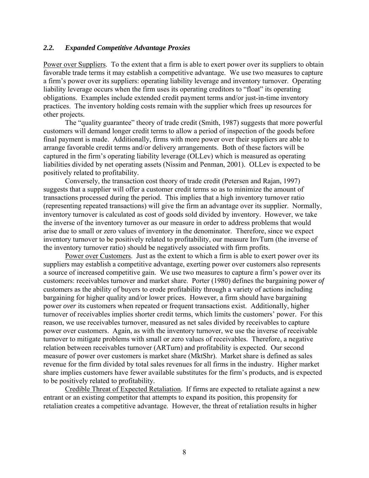#### *2.2. Expanded Competitive Advantage Proxies*

Power over Suppliers. To the extent that a firm is able to exert power over its suppliers to obtain favorable trade terms it may establish a competitive advantage. We use two measures to capture a firm's power over its suppliers: operating liability leverage and inventory turnover. Operating liability leverage occurs when the firm uses its operating creditors to "float" its operating obligations. Examples include extended credit payment terms and/or just-in-time inventory practices. The inventory holding costs remain with the supplier which frees up resources for other projects.

The "quality guarantee" theory of trade credit (Smith, 1987) suggests that more powerful customers will demand longer credit terms to allow a period of inspection of the goods before final payment is made. Additionally, firms with more power over their suppliers are able to arrange favorable credit terms and/or delivery arrangements. Both of these factors will be captured in the firm's operating liability leverage (OLLev) which is measured as operating liabilities divided by net operating assets (Nissim and Penman, 2001). OLLev is expected to be positively related to profitability.

Conversely, the transaction cost theory of trade credit (Petersen and Rajan, 1997) suggests that a supplier will offer a customer credit terms so as to minimize the amount of transactions processed during the period. This implies that a high inventory turnover ratio (representing repeated transactions) will give the firm an advantage over its supplier. Normally, inventory turnover is calculated as cost of goods sold divided by inventory. However, we take the inverse of the inventory turnover as our measure in order to address problems that would arise due to small or zero values of inventory in the denominator. Therefore, since we expect inventory turnover to be positively related to profitability, our measure InvTurn (the inverse of the inventory turnover ratio) should be negatively associated with firm profits.

Power over Customers. Just as the extent to which a firm is able to exert power over its suppliers may establish a competitive advantage, exerting power over customers also represents a source of increased competitive gain. We use two measures to capture a firm's power over its customers: receivables turnover and market share. Porter (1980) defines the bargaining power *of* customers as the ability of buyers to erode profitability through a variety of actions including bargaining for higher quality and/or lower prices. However, a firm should have bargaining power *over* its customers when repeated or frequent transactions exist. Additionally, higher turnover of receivables implies shorter credit terms, which limits the customers' power. For this reason, we use receivables turnover, measured as net sales divided by receivables to capture power over customers. Again, as with the inventory turnover, we use the inverse of receivable turnover to mitigate problems with small or zero values of receivables. Therefore, a negative relation between receivables turnover (ARTurn) and profitability is expected. Our second measure of power over customers is market share (MktShr). Market share is defined as sales revenue for the firm divided by total sales revenues for all firms in the industry. Higher market share implies customers have fewer available substitutes for the firm's products, and is expected to be positively related to profitability.

Credible Threat of Expected Retaliation. If firms are expected to retaliate against a new entrant or an existing competitor that attempts to expand its position, this propensity for retaliation creates a competitive advantage. However, the threat of retaliation results in higher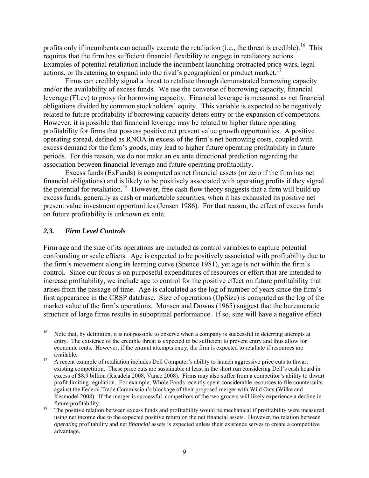<span id="page-9-0"></span>profits only if incumbents can actually execute the retaliation (i.e., the threat is credible).<sup>[16](#page-9-0)</sup> This requires that the firm has sufficient financial flexibility to engage in retaliatory actions. Examples of potential retaliation include the incumbent launching protracted price wars, legal actions, or threatening to expand into the rival's geographical or product market.<sup>[17](#page-9-0)</sup>

Firms can credibly signal a threat to retaliate through demonstrated borrowing capacity and/or the availability of excess funds. We use the converse of borrowing capacity, financial leverage (FLev) to proxy for borrowing capacity. Financial leverage is measured as net financial obligations divided by common stockholders' equity. This variable is expected to be negatively related to future profitability if borrowing capacity deters entry or the expansion of competitors. However, it is possible that financial leverage may be related to higher future operating profitability for firms that possess positive net present value growth opportunities. A positive operating spread, defined as RNOA in excess of the firm's net borrowing costs, coupled with excess demand for the firm's goods, may lead to higher future operating profitability in future periods. For this reason, we do not make an ex ante directional prediction regarding the association between financial leverage and future operating profitability.

Excess funds (ExFunds) is computed as net financial assets (or zero if the firm has net financial obligations) and is likely to be positively associated with operating profits if they signal the potential for retaliation.<sup>[18](#page-9-0)</sup> However, free cash flow theory suggests that a firm will build up excess funds, generally as cash or marketable securities, when it has exhausted its positive net present value investment opportunities (Jensen 1986). For that reason, the effect of excess funds on future profitability is unknown ex ante.

#### *2.3. Firm Level Controls*

Firm age and the size of its operations are included as control variables to capture potential confounding or scale effects. Age is expected to be positively associated with profitability due to the firm's movement along its learning curve (Spence 1981), yet age is not within the firm's control. Since our focus is on purposeful expenditures of resources or effort that are intended to increase profitability, we include age to control for the positive effect on future profitability that arises from the passage of time. Age is calculated as the log of number of years since the firm's first appearance in the CRSP database. Size of operations (OpSize) is computed as the log of the market value of the firm's operations. Monsen and Downs (1965) suggest that the bureaucratic structure of large firms results in suboptimal performance. If so, size will have a negative effect

 $16\,$ Note that, by definition, it is not possible to observe when a company is successful in deterring attempts at entry. The existence of the credible threat is expected to be sufficient to prevent entry and thus allow for economic rents. However, if the entrant attempts entry, the firm is expected to retaliate if resources are available.<br><sup>17</sup> A recent example of retaliation includes Dell Computer's ability to launch aggressive price cuts to thwart

existing competition. These price cuts are sustainable at least in the short run considering Dell's cash hoard in excess of \$8.9 billion (Ricadela 2008, Vance 2008). Firms may also suffer from a competitor's ability to thwart profit-limiting regulation. For example, Whole Foods recently spent considerable resources to file countersuits against the Federal Trade Commission's blockage of their proposed merger with Wild Oats (Wilke and Kesmodel 2008). If the merger is successful, competitors of the two grocers will likely experience a decline in

future profitability.<br><sup>18</sup> The positive relation between excess funds and profitability would be mechanical if profitability were measured using net income due to the expected positive return on the net financial assets. However, no relation between *operating* profitability and net *financial* assets is expected unless their existence serves to create a competitive advantage.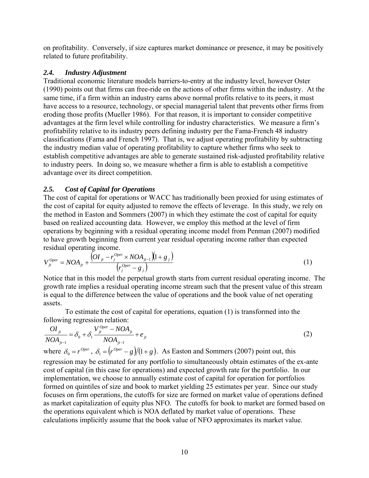on profitability. Conversely, if size captures market dominance or presence, it may be positively related to future profitability.

# *2.4. Industry Adjustment*

Traditional economic literature models barriers-to-entry at the industry level, however Oster (1990) points out that firms can free-ride on the actions of other firms within the industry. At the same time, if a firm within an industry earns above normal profits relative to its peers, it must have access to a resource, technology, or special managerial talent that prevents other firms from eroding those profits (Mueller 1986). For that reason, it is important to consider competitive advantages at the firm level while controlling for industry characteristics. We measure a firm's profitability relative to its industry peers defining industry per the Fama-French 48 industry classifications (Fama and French 1997). That is, we adjust operating profitability by subtracting the industry median value of operating profitability to capture whether firms who seek to establish competitive advantages are able to generate sustained risk-adjusted profitability relative to industry peers. In doing so, we measure whether a firm is able to establish a competitive advantage over its direct competition.

# *2.5. Cost of Capital for Operations*

The cost of capital for operations or WACC has traditionally been proxied for using estimates of the cost of capital for equity adjusted to remove the effects of leverage. In this study, we rely on the method in Easton and Sommers (2007) in which they estimate the cost of capital for equity based on realized accounting data. However, we employ this method at the level of firm operations by beginning with a residual operating income model from Penman (2007) modified to have growth beginning from current year residual operating income rather than expected residual operating income.

$$
V_{jt}^{Oper} = NOA_{jt} + \frac{\left(OI_{jt} - r_j^{Oper} \times NOA_{jt-1}\right)\left(1 + g_j\right)}{\left(r_j^{Oper} - g_j\right)}
$$
\n
$$
\tag{1}
$$

Notice that in this model the perpetual growth starts from current residual operating income. The growth rate implies a residual operating income stream such that the present value of this stream is equal to the difference between the value of operations and the book value of net operating assets.

 To estimate the cost of capital for operations, equation (1) is transformed into the following regression relation:

$$
\frac{OI_{ji}}{NOA_{ji-1}} = \delta_0 + \delta_1 \frac{V_{ji}^{Oper} - NOA_{ji}}{NOA_{ji-1}} + e_{ji}
$$
\nwhere  $\delta_0 = r^{Oper}$ ,  $\delta_1 = (r^{Oper} - g)/(1 + g)$ . As Easton and Sommers (2007) point out, this regression may be estimated for any portfolio to simultaneously obtain estimates of the ex-ante cost of capital (in this case for operations) and expected growth rate for the portfolio. In our implementation, we choose to annually estimate cost of capital for operation for portfolios formed on quintiles of size and book to market yielding 25 estimates per year. Since our study focuses on firm operations, the cutoffs for size are formed on market value of operations defined as market capitalization of equity plus NFO. The cutoffs for book to market are formed based on the operations equivalent which is NOA deflated by market value of operations. These calculations implicitly assume that the book value of NFO approximates its market value.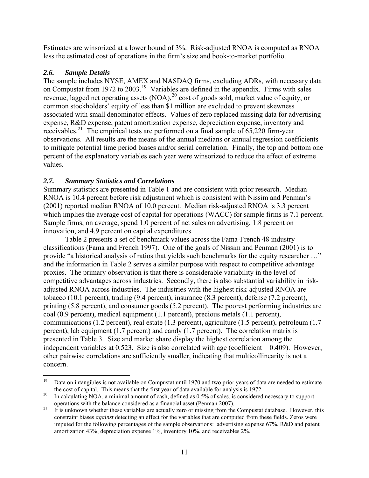<span id="page-11-0"></span>Estimates are winsorized at a lower bound of 3%. Risk-adjusted RNOA is computed as RNOA less the estimated cost of operations in the firm's size and book-to-market portfolio.

# *2.6. Sample Details*

The sample includes NYSE, AMEX and NASDAQ firms, excluding ADRs, with necessary data on Compustat from [19](#page-11-0)72 to 2003.<sup>19</sup> Variables are defined in the appendix. Firms with sales revenue, lagged net operating assets  $(NOA)$ ,<sup>[20](#page-11-0)</sup> cost of goods sold, market value of equity, or common stockholders' equity of less than \$1 million are excluded to prevent skewness associated with small denominator effects. Values of zero replaced missing data for advertising expense, R&D expense, patent amortization expense, depreciation expense, inventory and receivables.<sup>[21](#page-11-0)</sup> The empirical tests are performed on a final sample of  $65,220$  firm-year observations. All results are the means of the annual medians or annual regression coefficients to mitigate potential time period biases and/or serial correlation. Finally, the top and bottom one percent of the explanatory variables each year were winsorized to reduce the effect of extreme values.

# *2.7. Summary Statistics and Correlations*

Summary statistics are presented in Table 1 and are consistent with prior research. Median RNOA is 10.4 percent before risk adjustment which is consistent with Nissim and Penman's (2001) reported median RNOA of 10.0 percent. Median risk-adjusted RNOA is 3.3 percent which implies the average cost of capital for operations (WACC) for sample firms is 7.1 percent. Sample firms, on average, spend 1.0 percent of net sales on advertising, 1.8 percent on innovation, and 4.9 percent on capital expenditures.

Table 2 presents a set of benchmark values across the Fama-French 48 industry classifications (Fama and French 1997). One of the goals of Nissim and Penman (2001) is to provide "a historical analysis of ratios that yields such benchmarks for the equity researcher …" and the information in Table 2 serves a similar purpose with respect to competitive advantage proxies. The primary observation is that there is considerable variability in the level of competitive advantages across industries. Secondly, there is also substantial variability in riskadjusted RNOA across industries. The industries with the highest risk-adjusted RNOA are tobacco (10.1 percent), trading (9.4 percent), insurance (8.3 percent), defense (7.2 percent), printing (5.8 percent), and consumer goods (5.2 percent). The poorest performing industries are coal (0.9 percent), medical equipment (1.1 percent), precious metals (1.1 percent), communications (1.2 percent), real estate (1.3 percent), agriculture (1.5 percent), petroleum (1.7 percent), lab equipment (1.7 percent) and candy (1.7 percent). The correlation matrix is presented in Table 3. Size and market share display the highest correlation among the independent variables at 0.523. Size is also correlated with age (coefficient = 0.409). However, other pairwise correlations are sufficiently smaller, indicating that multicollinearity is not a concern.

<sup>19</sup> 19 Data on intangibles is not available on Compustat until 1970 and two prior years of data are needed to estimate the cost of capital. This means that the first year of data available for analysis is 1972.<br><sup>20</sup> In calculating NOA, a minimal amount of cash, defined as 0.5% of sales, is considered necessary to support

operations with the balance considered as a financial asset (Penman 2007).<br><sup>21</sup> It is unknown whether these variables are actually zero or missing from the Compustat database. However, this constraint biases *against* detecting an effect for the variables that are computed from these fields. Zeros were imputed for the following percentages of the sample observations: advertising expense 67%, R&D and patent amortization 43%, depreciation expense 1%, inventory 10%, and receivables 2%.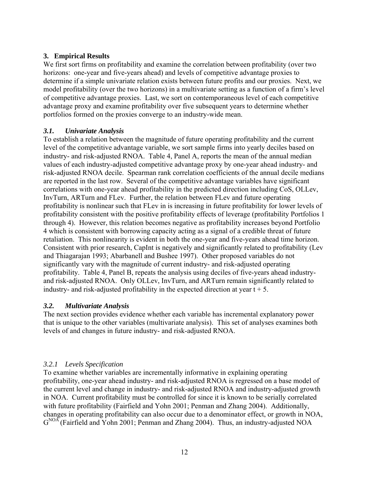# **3. Empirical Results**

We first sort firms on profitability and examine the correlation between profitability (over two horizons: one-year and five-years ahead) and levels of competitive advantage proxies to determine if a simple univariate relation exists between future profits and our proxies. Next, we model profitability (over the two horizons) in a multivariate setting as a function of a firm's level of competitive advantage proxies. Last, we sort on contemporaneous level of each competitive advantage proxy and examine profitability over five subsequent years to determine whether portfolios formed on the proxies converge to an industry-wide mean.

# *3.1. Univariate Analysis*

To establish a relation between the magnitude of future operating profitability and the current level of the competitive advantage variable, we sort sample firms into yearly deciles based on industry- and risk-adjusted RNOA. Table 4, Panel A, reports the mean of the annual median values of each industry-adjusted competitive advantage proxy by one-year ahead industry- and risk-adjusted RNOA decile. Spearman rank correlation coefficients of the annual decile medians are reported in the last row. Several of the competitive advantage variables have significant correlations with one-year ahead profitability in the predicted direction including CoS, OLLev, InvTurn, ARTurn and FLev. Further, the relation between FLev and future operating profitability is nonlinear such that FLev in is increasing in future profitability for lower levels of profitability consistent with the positive profitability effects of leverage (profitability Portfolios 1 through 4). However, this relation becomes negative as profitability increases beyond Portfolio 4 which is consistent with borrowing capacity acting as a signal of a credible threat of future retaliation. This nonlinearity is evident in both the one-year and five-years ahead time horizon. Consistent with prior research, CapInt is negatively and significantly related to profitability (Lev and Thiagarajan 1993; Abarbanell and Bushee 1997). Other proposed variables do not significantly vary with the magnitude of current industry- and risk-adjusted operating profitability. Table 4, Panel B, repeats the analysis using deciles of five-years ahead industryand risk-adjusted RNOA. Only OLLev, InvTurn, and ARTurn remain significantly related to industry- and risk-adjusted profitability in the expected direction at year  $t + 5$ .

# *3.2. Multivariate Analysis*

The next section provides evidence whether each variable has incremental explanatory power that is unique to the other variables (multivariate analysis). This set of analyses examines both levels of and changes in future industry- and risk-adjusted RNOA.

# *3.2.1 Levels Specification*

To examine whether variables are incrementally informative in explaining operating profitability, one-year ahead industry- and risk-adjusted RNOA is regressed on a base model of the current level and change in industry- and risk-adjusted RNOA and industry-adjusted growth in NOA. Current profitability must be controlled for since it is known to be serially correlated with future profitability (Fairfield and Yohn 2001; Penman and Zhang 2004). Additionally, changes in operating profitability can also occur due to a denominator effect, or growth in NOA,  $G<sup>NOA</sup>$  (Fairfield and Yohn 2001; Penman and Zhang 2004). Thus, an industry-adjusted NOA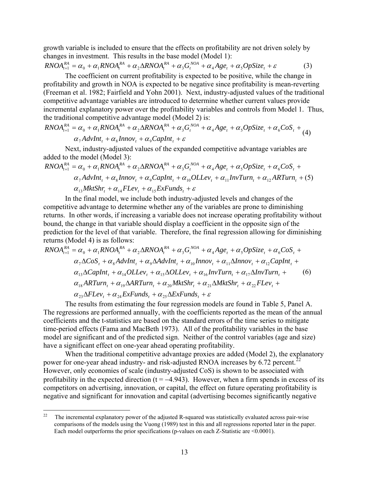<span id="page-13-0"></span>growth variable is included to ensure that the effects on profitability are not driven solely by changes in investment. This results in the base model (Model 1):

$$
RNOA_{t+1}^{RA} = \alpha_0 + \alpha_1 RNOA_t^{RA} + \alpha_2 \Delta RNOA_t^{RA} + \alpha_3 G_t^{NOA} + \alpha_4 Age_t + \alpha_5 OpSize_t + \varepsilon
$$
 (3)

The coefficient on current profitability is expected to be positive, while the change in profitability and growth in NOA is expected to be negative since profitability is mean-reverting (Freeman et al. 1982; Fairfield and Yohn 2001). Next, industry-adjusted values of the traditional competitive advantage variables are introduced to determine whether current values provide incremental explanatory power over the profitability variables and controls from Model 1. Thus, the traditional competitive advantage model (Model 2) is:

$$
RNOA_{t+1}^{RA} = \alpha_0 + \alpha_1 RNOA_t^{RA} + \alpha_2 \Delta RNOA_t^{RA} + \alpha_3 G_t^{NOA} + \alpha_4 Age_t + \alpha_5 OpSize_t + \alpha_6 Cos_t + \alpha_7 AdvInt_t + \alpha_8 Innov_t + \alpha_9 CapInt_t + \varepsilon
$$
\n(4)

Next, industry-adjusted values of the expanded competitive advantage variables are added to the model (Model 3):

$$
RNOA_{t+1}^{RA} = \alpha_0 + \alpha_1 RNOA_t^{RA} + \alpha_2 \Delta RNOA_t^{RA} + \alpha_3 G_t^{NOA} + \alpha_4 Age_t + \alpha_5 OpSize_t + \alpha_6 Cos_t + \alpha_7 AdvInt_t + \alpha_8 Innov_t + \alpha_9 CapInt_t + \alpha_{10} OLLev_t + \alpha_{11} InvTurn_t + \alpha_{12} ARTurn_t + (5)
$$
  

$$
\alpha_{13} MktShr_t + \alpha_{14} FLev_t + \alpha_{15} ExFunds_t + \varepsilon
$$

In the final model, we include both industry-adjusted levels and changes of the competitive advantage to determine whether any of the variables are prone to diminishing returns. In other words, if increasing a variable does not increase operating profitability without bound, the change in that variable should display a coefficient in the opposite sign of the prediction for the level of that variable. Therefore, the final regression allowing for diminishing returns (Model 4) is as follows:

$$
RNOA_{t+1}^{RA} = \alpha_0 + \alpha_1 RNOA_t^{RA} + \alpha_2 \Delta RNOA_t^{RA} + \alpha_3 G_t^{NOA} + \alpha_4 Age_t + \alpha_5 OpSize_t + \alpha_6 Cos_t + \alpha_7 \Delta Cos_t + \alpha_8 AdvInt_t + \alpha_9 \Delta AdvInt_t + \alpha_{10} Innov_t + \alpha_{11} \Delta Innov_t + \alpha_{12} CapInt_t + \alpha_{13} \Delta CapInt_t + \alpha_{14} OLLev_t + \alpha_{15} \Delta OLLev_t + \alpha_{16} InvTurn_t + \alpha_{17} \Delta InvTurn_t + \alpha_{18} ARTurn_t + \alpha_{19} \Delta ARTurn_t + \alpha_{20} MktShr_t + \alpha_{21} \Delta MkShr_t + \alpha_{22} FLev_t + \alpha_{23} \Delta FLev_t + \alpha_{24} ExtFunds_t + \alpha_{25} \Delta ExFunds_t + \varepsilon
$$

The results from estimating the four regression models are found in Table 5, Panel A. The regressions are performed annually, with the coefficients reported as the mean of the annual coefficients and the t-statistics are based on the standard errors of the time series to mitigate time-period effects (Fama and MacBeth 1973). All of the profitability variables in the base model are significant and of the predicted sign. Neither of the control variables (age and size) have a significant effect on one-year ahead operating profitability.

When the traditional competitive advantage proxies are added (Model 2), the explanatory power for one-year ahead industry- and risk-adjusted RNOA increases by 6.72 percent.<sup>[22](#page-13-0)</sup> However, only economies of scale (industry-adjusted CoS) is shown to be associated with profitability in the expected direction ( $t = -4.943$ ). However, when a firm spends in excess of its competitors on advertising, innovation, or capital, the effect on future operating profitability is negative and significant for innovation and capital (advertising becomes significantly negative

 $22$ 22 The incremental explanatory power of the adjusted R-squared was statistically evaluated across pair-wise comparisons of the models using the Vuong (1989) test in this and all regressions reported later in the paper. Each model outperforms the prior specifications (p-values on each Z-Statistic are <0.0001).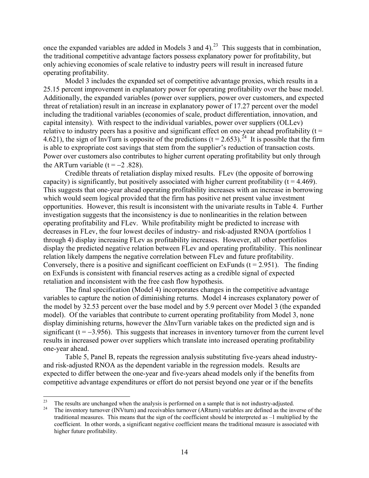<span id="page-14-0"></span>once the expanded variables are added in Models 3 and 4).<sup>[23](#page-14-0)</sup> This suggests that in combination, the traditional competitive advantage factors possess explanatory power for profitability, but only achieving economies of scale relative to industry peers will result in increased future operating profitability.

Model 3 includes the expanded set of competitive advantage proxies, which results in a 25.15 percent improvement in explanatory power for operating profitability over the base model. Additionally, the expanded variables (power over suppliers, power over customers, and expected threat of retaliation) result in an increase in explanatory power of 17.27 percent over the model including the traditional variables (economies of scale, product differentiation, innovation, and capital intensity). With respect to the individual variables, power over suppliers (OLLev) relative to industry peers has a positive and significant effect on one-year ahead profitability ( $t =$ 4.621), the sign of InvTurn is opposite of the predictions  $(t = 2.653)$ .<sup>[24](#page-14-0)</sup> It is possible that the firm is able to expropriate cost savings that stem from the supplier's reduction of transaction costs. Power over customers also contributes to higher current operating profitability but only through the ARTurn variable ( $t = -2$  .828).

Credible threats of retaliation display mixed results. FLev (the opposite of borrowing capacity) is significantly, but positively associated with higher current profitability ( $t = 4.469$ ). This suggests that one-year ahead operating profitability increases with an increase in borrowing which would seem logical provided that the firm has positive net present value investment opportunities. However, this result is inconsistent with the univariate results in Table 4. Further investigation suggests that the inconsistency is due to nonlinearities in the relation between operating profitability and FLev. While profitability might be predicted to increase with decreases in FLev, the four lowest deciles of industry- and risk-adjusted RNOA (portfolios 1 through 4) display increasing FLev as profitability increases. However, all other portfolios display the predicted negative relation between FLev and operating profitability. This nonlinear relation likely dampens the negative correlation between FLev and future profitability. Conversely, there is a positive and significant coefficient on ExFunds ( $t = 2.951$ ). The finding on ExFunds is consistent with financial reserves acting as a credible signal of expected retaliation and inconsistent with the free cash flow hypothesis.

The final specification (Model 4) incorporates changes in the competitive advantage variables to capture the notion of diminishing returns. Model 4 increases explanatory power of the model by 32.53 percent over the base model and by 5.9 percent over Model 3 (the expanded model). Of the variables that contribute to current operating profitability from Model 3, none display diminishing returns, however the ΔInvTurn variable takes on the predicted sign and is significant ( $t = -3.956$ ). This suggests that increases in inventory turnover from the current level results in increased power over suppliers which translate into increased operating profitability one-year ahead.

Table 5, Panel B, repeats the regression analysis substituting five-years ahead industryand risk-adjusted RNOA as the dependent variable in the regression models. Results are expected to differ between the one-year and five-years ahead models only if the benefits from competitive advantage expenditures or effort do not persist beyond one year or if the benefits

 $23$ <sup>23</sup> The results are unchanged when the analysis is performed on a sample that is not industry-adjusted.<br><sup>24</sup> The inventory types or (NN/type) and resolvables typesys (ARtype) variables are defined as the im-

<sup>24</sup> The inventory turnover (INVturn) and receivables turnover (ARturn) variables are defined as the inverse of the traditional measures. This means that the sign of the coefficient should be interpreted as –1 multiplied by the coefficient. In other words, a significant negative coefficient means the traditional measure is associated with higher future profitability.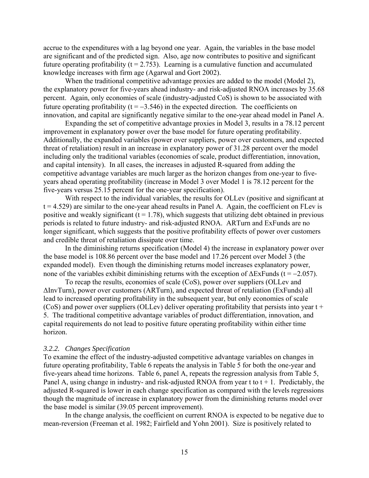accrue to the expenditures with a lag beyond one year. Again, the variables in the base model are significant and of the predicted sign. Also, age now contributes to positive and significant future operating profitability ( $t = 2.753$ ). Learning is a cumulative function and accumulated knowledge increases with firm age (Agarwal and Gort 2002).

When the traditional competitive advantage proxies are added to the model (Model 2), the explanatory power for five-years ahead industry- and risk-adjusted RNOA increases by 35.68 percent. Again, only economies of scale (industry-adjusted CoS) is shown to be associated with future operating profitability ( $t = -3.546$ ) in the expected direction. The coefficients on innovation, and capital are significantly negative similar to the one-year ahead model in Panel A.

Expanding the set of competitive advantage proxies in Model 3, results in a 78.12 percent improvement in explanatory power over the base model for future operating profitability. Additionally, the expanded variables (power over suppliers, power over customers, and expected threat of retaliation) result in an increase in explanatory power of 31.28 percent over the model including only the traditional variables (economies of scale, product differentiation, innovation, and capital intensity). In all cases, the increases in adjusted R-squared from adding the competitive advantage variables are much larger as the horizon changes from one-year to fiveyears ahead operating profitability (increase in Model 3 over Model 1 is 78.12 percent for the five-years versus 25.15 percent for the one-year specification).

With respect to the individual variables, the results for OLLev (positive and significant at  $t = 4.529$ ) are similar to the one-year ahead results in Panel A. Again, the coefficient on FLev is positive and weakly significant  $(t = 1.78)$ , which suggests that utilizing debt obtained in previous periods is related to future industry- and risk-adjusted RNOA. ARTurn and ExFunds are no longer significant, which suggests that the positive profitability effects of power over customers and credible threat of retaliation dissipate over time.

In the diminishing returns specification (Model 4) the increase in explanatory power over the base model is 108.86 percent over the base model and 17.26 percent over Model 3 (the expanded model). Even though the diminishing returns model increases explanatory power, none of the variables exhibit diminishing returns with the exception of  $\Delta$ ExFunds (t = -2.057).

To recap the results, economies of scale (CoS), power over suppliers (OLLev and ΔInvTurn), power over customers (ARTurn), and expected threat of retaliation (ExFunds) all lead to increased operating profitability in the subsequent year, but only economies of scale  $(CoS)$  and power over suppliers (OLLev) deliver operating profitability that persists into year t + 5. The traditional competitive advantage variables of product differentiation, innovation, and capital requirements do not lead to positive future operating profitability within either time horizon.

#### *3.2.2. Changes Specification*

To examine the effect of the industry-adjusted competitive advantage variables on changes in future operating profitability, Table 6 repeats the analysis in Table 5 for both the one-year and five-years ahead time horizons. Table 6, panel A, repeats the regression analysis from Table 5, Panel A, using change in industry- and risk-adjusted RNOA from year t to  $t + 1$ . Predictably, the adjusted R-squared is lower in each change specification as compared with the levels regressions though the magnitude of increase in explanatory power from the diminishing returns model over the base model is similar (39.05 percent improvement).

In the change analysis, the coefficient on current RNOA is expected to be negative due to mean-reversion (Freeman et al. 1982; Fairfield and Yohn 2001). Size is positively related to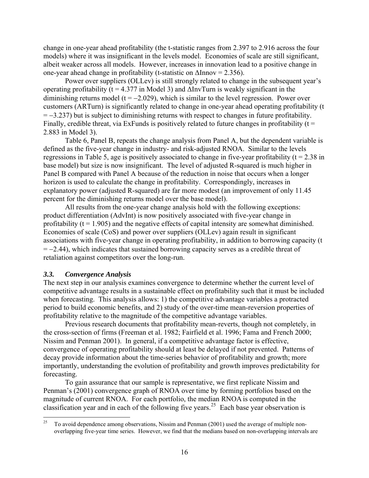<span id="page-16-0"></span>change in one-year ahead profitability (the t-statistic ranges from 2.397 to 2.916 across the four models) where it was insignificant in the levels model. Economies of scale are still significant, albeit weaker across all models. However, increases in innovation lead to a positive change in one-year ahead change in profitability (t-statistic on  $\Delta$ Innov = 2.356).

Power over suppliers (OLLev) is still strongly related to change in the subsequent year's operating profitability ( $t = 4.377$  in Model 3) and  $\Delta \text{InvTurn}$  is weakly significant in the diminishing returns model ( $t = -2.029$ ), which is similar to the level regression. Power over customers (ARTurn) is significantly related to change in one-year ahead operating profitability (t = −3.237) but is subject to diminishing returns with respect to changes in future profitability. Finally, credible threat, via ExFunds is positively related to future changes in profitability ( $t =$ 2.883 in Model 3).

Table 6, Panel B, repeats the change analysis from Panel A, but the dependent variable is defined as the five-year change in industry- and risk-adjusted RNOA. Similar to the levels regressions in Table 5, age is positively associated to change in five-year profitability ( $t = 2.38$  in base model) but size is now insignificant. The level of adjusted R-squared is much higher in Panel B compared with Panel A because of the reduction in noise that occurs when a longer horizon is used to calculate the change in profitability. Correspondingly, increases in explanatory power (adjusted R-squared) are far more modest (an improvement of only 11.45 percent for the diminishing returns model over the base model).

All results from the one-year change analysis hold with the following exceptions: product differentiation (AdvInt) is now positively associated with five-year change in profitability  $(t = 1.905)$  and the negative effects of capital intensity are somewhat diminished. Economies of scale (CoS) and power over suppliers (OLLev) again result in significant associations with five-year change in operating profitability, in addition to borrowing capacity (t  $= -2.44$ ), which indicates that sustained borrowing capacity serves as a credible threat of retaliation against competitors over the long-run.

#### *3.3. Convergence Analysis*

The next step in our analysis examines convergence to determine whether the current level of competitive advantage results in a sustainable effect on profitability such that it must be included when forecasting. This analysis allows: 1) the competitive advantage variables a protracted period to build economic benefits, and 2) study of the over-time mean-reversion properties of profitability relative to the magnitude of the competitive advantage variables.

Previous research documents that profitability mean-reverts, though not completely, in the cross-section of firms (Freeman et al. 1982; Fairfield et al. 1996; Fama and French 2000; Nissim and Penman 2001). In general, if a competitive advantage factor is effective, convergence of operating profitability should at least be delayed if not prevented. Patterns of decay provide information about the time-series behavior of profitability and growth; more importantly, understanding the evolution of profitability and growth improves predictability for forecasting.

To gain assurance that our sample is representative, we first replicate Nissim and Penman's (2001) convergence graph of RNOA over time by forming portfolios based on the magnitude of current RNOA. For each portfolio, the median RNOA is computed in the classification year and in each of the following five years.<sup>[25](#page-16-0)</sup> Each base year observation is

<sup>25</sup> 25 To avoid dependence among observations, Nissim and Penman (2001) used the average of multiple nonoverlapping five-year time series. However, we find that the medians based on non-overlapping intervals are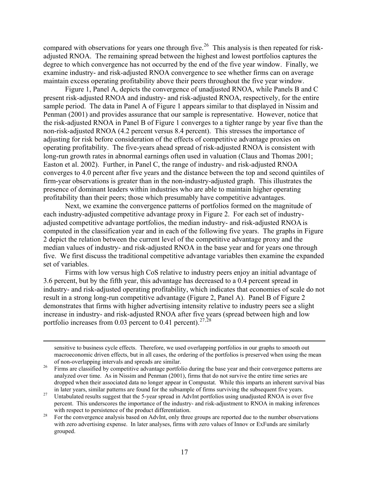<span id="page-17-0"></span>compared with observations for years one through five.<sup>[26](#page-17-0)</sup> This analysis is then repeated for riskadjusted RNOA. The remaining spread between the highest and lowest portfolios captures the degree to which convergence has not occurred by the end of the five year window. Finally, we examine industry- and risk-adjusted RNOA convergence to see whether firms can on average maintain excess operating profitability above their peers throughout the five year window.

Figure 1, Panel A, depicts the convergence of unadjusted RNOA, while Panels B and C present risk-adjusted RNOA and industry- and risk-adjusted RNOA, respectively, for the entire sample period. The data in Panel A of Figure 1 appears similar to that displayed in Nissim and Penman (2001) and provides assurance that our sample is representative. However, notice that the risk-adjusted RNOA in Panel B of Figure 1 converges to a tighter range by year five than the non-risk-adjusted RNOA (4.2 percent versus 8.4 percent). This stresses the importance of adjusting for risk before consideration of the effects of competitive advantage proxies on operating profitability. The five-years ahead spread of risk-adjusted RNOA is consistent with long-run growth rates in abnormal earnings often used in valuation (Claus and Thomas 2001; Easton et al. 2002). Further, in Panel C, the range of industry- and risk-adjusted RNOA converges to 4.0 percent after five years and the distance between the top and second quintiles of firm-year observations is greater than in the non-industry-adjusted graph. This illustrates the presence of dominant leaders within industries who are able to maintain higher operating profitability than their peers; those which presumably have competitive advantages.

Next, we examine the convergence patterns of portfolios formed on the magnitude of each industry-adjusted competitive advantage proxy in Figure 2. For each set of industryadjusted competitive advantage portfolios, the median industry- and risk-adjusted RNOA is computed in the classification year and in each of the following five years. The graphs in Figure 2 depict the relation between the current level of the competitive advantage proxy and the median values of industry- and risk-adjusted RNOA in the base year and for years one through five. We first discuss the traditional competitive advantage variables then examine the expanded set of variables.

Firms with low versus high CoS relative to industry peers enjoy an initial advantage of 3.6 percent, but by the fifth year, this advantage has decreased to a 0.4 percent spread in industry- and risk-adjusted operating profitability, which indicates that economies of scale do not result in a strong long-run competitive advantage (Figure 2, Panel A). Panel B of Figure 2 demonstrates that firms with higher advertising intensity relative to industry peers see a slight increase in industry- and risk-adjusted RNOA after five years (spread between high and low portfolio increases from 0.03 percent to 0.41 percent).<sup>[27](#page-17-0),[28](#page-17-0)</sup>

 sensitive to business cycle effects. Therefore, we used overlapping portfolios in our graphs to smooth out macroeconomic driven effects, but in all cases, the ordering of the portfolios is preserved when using the mean of non-overlapping intervals and spreads are similar.<br><sup>26</sup> Firms are classified by competitive advantage portfolio during the base year and their convergence patterns are

analyzed over time. As in Nissim and Penman (2001), firms that do not survive the entire time series are dropped when their associated data no longer appear in Compustat. While this imparts an inherent survival bias

in later years, similar patterns are found for the subsample of firms surviving the subsequent five years. 27 Untabulated results suggest that the 5-year spread in AdvInt portfolios using unadjusted RNOA is over five percent. This underscores the importance of the industry- and risk-adjustment to RNOA in making inferences with respect to persistence of the product differentiation.<br><sup>28</sup> For the convergence analysis based on AdvInt, only three groups are reported due to the number observations

with zero advertising expense. In later analyses, firms with zero values of Innov or ExFunds are similarly grouped.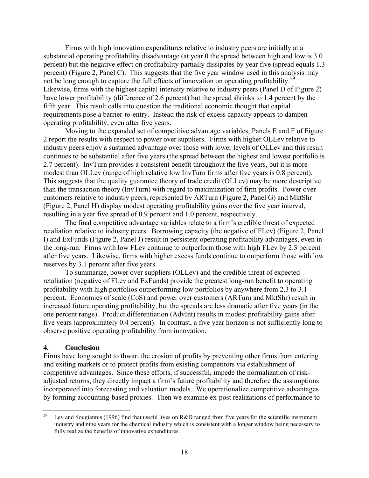<span id="page-18-0"></span>Firms with high innovation expenditures relative to industry peers are initially at a substantial operating profitability disadvantage (at year 0 the spread between high and low is 3.0 percent) but the negative effect on profitability partially dissipates by year five (spread equals 1.3 percent) (Figure 2, Panel C). This suggests that the five year window used in this analysis may not be long enough to capture the full effects of innovation on operating profitability.<sup>[29](#page-18-0)</sup> Likewise, firms with the highest capital intensity relative to industry peers (Panel D of Figure 2) have lower profitability (difference of 2.6 percent) but the spread shrinks to 1.4 percent by the fifth year. This result calls into question the traditional economic thought that capital requirements pose a barrier-to-entry. Instead the risk of excess capacity appears to dampen operating profitability, even after five years.

Moving to the expanded set of competitive advantage variables, Panels E and F of Figure 2 report the results with respect to power over suppliers. Firms with higher OLLev relative to industry peers enjoy a sustained advantage over those with lower levels of OLLev and this result continues to be substantial after five years (the spread between the highest and lowest portfolio is 2.7 percent). InvTurn provides a consistent benefit throughout the five years, but it is more modest than OLLev (range of high relative low InvTurn firms after five years is 0.8 percent). This suggests that the quality guarantee theory of trade credit (OLLev) may be more descriptive than the transaction theory (InvTurn) with regard to maximization of firm profits. Power over customers relative to industry peers, represented by ARTurn (Figure 2, Panel G) and MktShr (Figure 2, Panel H) display modest operating profitability gains over the five year interval, resulting in a year five spread of 0.9 percent and 1.0 percent, respectively.

The final competitive advantage variables relate to a firm's credible threat of expected retaliation relative to industry peers. Borrowing capacity (the negative of FLev) (Figure 2, Panel I) and ExFunds (Figure 2, Panel J) result in persistent operating profitability advantages, even in the long-run. Firms with low FLev continue to outperform those with high FLev by 2.3 percent after five years. Likewise, firms with higher excess funds continue to outperform those with low reserves by 3.1 percent after five years.

To summarize, power over suppliers (OLLev) and the credible threat of expected retaliation (negative of FLev and ExFunds) provide the greatest long-run benefit to operating profitability with high portfolios outperforming low portfolios by anywhere from 2.3 to 3.1 percent. Economies of scale (CoS) and power over customers (ARTurn and MktShr) result in increased future operating profitability, but the spreads are less dramatic after five years (in the one percent range). Product differentiation (AdvInt) results in modest profitability gains after five years (approximately 0.4 percent). In contrast, a five year horizon is not sufficiently long to observe positive operating profitability from innovation.

#### **4. Conclusion**

Firms have long sought to thwart the erosion of profits by preventing other firms from entering and exiting markets or to protect profits from existing competitors via establishment of competitive advantages. Since these efforts, if successful, impede the normalization of riskadjusted returns, they directly impact a firm's future profitability and therefore the assumptions incorporated into forecasting and valuation models. We operationalize competitive advantages by forming accounting-based proxies. Then we examine ex-post realizations of performance to

<sup>29</sup> Lev and Sougiannis (1996) find that useful lives on R&D ranged from five years for the scientific instrument industry and nine years for the chemical industry which is consistent with a longer window being necessary to fully realize the benefits of innovative expenditures.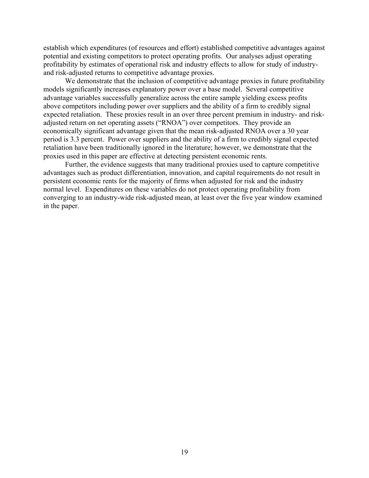establish which expenditures (of resources and effort) established competitive advantages against potential and existing competitors to protect operating profits. Our analyses adjust operating profitability by estimates of operational risk and industry effects to allow for study of industryand risk-adjusted returns to competitive advantage proxies.

We demonstrate that the inclusion of competitive advantage proxies in future profitability models significantly increases explanatory power over a base model. Several competitive advantage variables successfully generalize across the entire sample yielding excess profits above competitors including power over suppliers and the ability of a firm to credibly signal expected retaliation. These proxies result in an over three percent premium in industry- and riskadjusted return on net operating assets ("RNOA") over competitors. They provide an economically significant advantage given that the mean risk-adjusted RNOA over a 30 year period is 3.3 percent. Power over suppliers and the ability of a firm to credibly signal expected retaliation have been traditionally ignored in the literature; however, we demonstrate that the proxies used in this paper are effective at detecting persistent economic rents.

Further, the evidence suggests that many traditional proxies used to capture competitive advantages such as product differentiation, innovation, and capital requirements do not result in persistent economic rents for the majority of firms when adjusted for risk and the industry normal level. Expenditures on these variables do not protect operating profitability from converging to an industry-wide risk-adjusted mean, at least over the five year window examined in the paper.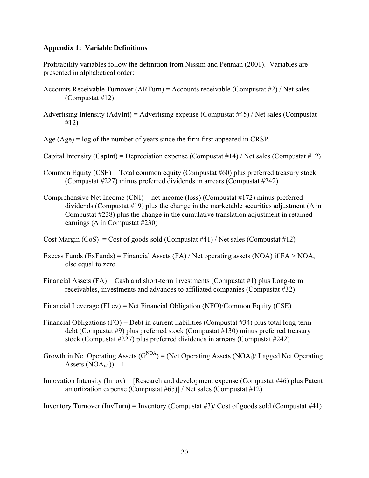#### **Appendix 1: Variable Definitions**

Profitability variables follow the definition from Nissim and Penman (2001). Variables are presented in alphabetical order:

- Accounts Receivable Turnover (ARTurn) = Accounts receivable (Compustat #2) / Net sales (Compustat #12)
- Advertising Intensity (AdvInt) = Advertising expense (Compustat #45) / Net sales (Compustat #12)

Age (Age) = log of the number of years since the firm first appeared in CRSP.

Capital Intensity (CapInt) = Depreciation expense (Compustat #14) / Net sales (Compustat #12)

- Common Equity (CSE) = Total common equity (Compustat  $#60$ ) plus preferred treasury stock (Compustat #227) minus preferred dividends in arrears (Compustat #242)
- Comprehensive Net Income (CNI) = net income (loss) (Compustat #172) minus preferred dividends (Compustat #19) plus the change in the marketable securities adjustment ( $\Delta$  in Compustat #238) plus the change in the cumulative translation adjustment in retained earnings ( $\Delta$  in Compustat #230)

Cost Margin  $(CoS) = Cost of goods sold (Computat #41) / Net sales (Computat #12)$ 

- Excess Funds (ExFunds) = Financial Assets (FA) / Net operating assets (NOA) if  $FA > NOA$ , else equal to zero
- Financial Assets  $(FA)$  = Cash and short-term investments (Compustat #1) plus Long-term receivables, investments and advances to affiliated companies (Compustat #32)
- Financial Leverage (FLev) = Net Financial Obligation (NFO)/Common Equity (CSE)
- Financial Obligations (FO) = Debt in current liabilities (Compustat #34) plus total long-term debt (Compustat #9) plus preferred stock (Compustat #130) minus preferred treasury stock (Compustat #227) plus preferred dividends in arrears (Compustat #242)
- Growth in Net Operating Assets  $(G<sup>NOA</sup>) = (Net Operating Assets (NOA<sub>t</sub>)/Laged Net Operating$ Assets  $(NOA_{t-1})) - 1$
- Innovation Intensity (Innov) = [Research and development expense (Compustat #46) plus Patent amortization expense (Compustat #65)] / Net sales (Compustat #12)

Inventory Turnover (InvTurn) = Inventory (Compustat #3)/ Cost of goods sold (Compustat #41)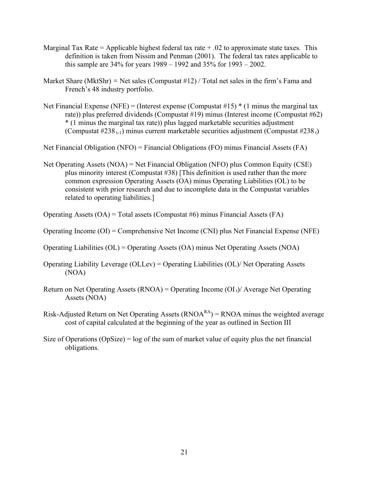- Marginal Tax Rate = Applicable highest federal tax rate  $+ .02$  to approximate state taxes. This definition is taken from Nissim and Penman (2001). The federal tax rates applicable to this sample are 34% for years 1989 – 1992 and 35% for 1993 – 2002.
- Market Share (MktShr) = Net sales (Compustat #12) / Total net sales in the firm's Fama and French's 48 industry portfolio.
- Net Financial Expense (NFE) = (Interest expense (Compustat #15)  $*(1 \text{ minus the marginal tax})$ rate)) plus preferred dividends (Compustat #19) minus (Interest income (Compustat #62) \* (1 minus the marginal tax rate)) plus lagged marketable securities adjustment (Compustat #238 $_{t-1}$ ) minus current marketable securities adjustment (Compustat #238 $_{t}$ )

Net Financial Obligation (NFO) = Financial Obligations (FO) minus Financial Assets (FA)

Net Operating Assets (NOA) = Net Financial Obligation (NFO) plus Common Equity (CSE) plus minority interest (Compustat #38) [This definition is used rather than the more common expression Operating Assets (OA) minus Operating Liabilities (OL) to be consistent with prior research and due to incomplete data in the Compustat variables related to operating liabilities.]

Operating Assets (OA) = Total assets (Compustat #6) minus Financial Assets (FA)

- Operating Income (OI) = Comprehensive Net Income (CNI) plus Net Financial Expense (NFE)
- Operating Liabilities (OL) = Operating Assets (OA) minus Net Operating Assets (NOA)
- Operating Liability Leverage (OLLev) = Operating Liabilities (OL)/ Net Operating Assets (NOA)
- Return on Net Operating Assets (RNOA) = Operating Income (OI $<sub>1</sub>$ )/ Average Net Operating</sub> Assets (NOA)
- Risk-Adjusted Return on Net Operating Assets  $(RNOA^{RA}) = RNOA$  minus the weighted average cost of capital calculated at the beginning of the year as outlined in Section III
- Size of Operations (OpSize) =  $log$  of the sum of market value of equity plus the net financial obligations.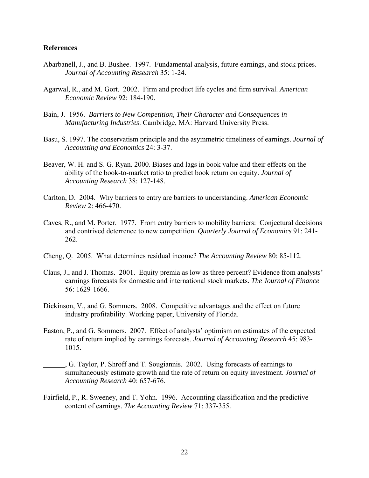#### **References**

- Abarbanell, J., and B. Bushee. 1997. Fundamental analysis, future earnings, and stock prices. *Journal of Accounting Research* 35: 1-24.
- Agarwal, R., and M. Gort. 2002. Firm and product life cycles and firm survival. *American Economic Review* 92: 184-190.
- Bain, J. 1956. *Barriers to New Competition, Their Character and Consequences in Manufacturing Industries*. Cambridge, MA: Harvard University Press.
- Basu, S. 1997. The conservatism principle and the asymmetric timeliness of earnings. *Journal of Accounting and Economics* 24: 3-37.
- Beaver, W. H. and S. G. Ryan. 2000. Biases and lags in book value and their effects on the ability of the book-to-market ratio to predict book return on equity. *Journal of Accounting Research* 38: 127-148.
- Carlton, D. 2004. Why barriers to entry are barriers to understanding. *American Economic Review* 2: 466-470.
- Caves, R., and M. Porter. 1977. From entry barriers to mobility barriers: Conjectural decisions and contrived deterrence to new competition. *Quarterly Journal of Economics* 91: 241- 262.
- Cheng, Q. 2005. What determines residual income? *The Accounting Review* 80: 85-112.
- Claus, J., and J. Thomas. 2001. Equity premia as low as three percent? Evidence from analysts' earnings forecasts for domestic and international stock markets. *The Journal of Finance*  56: 1629-1666.
- Dickinson, V., and G. Sommers. 2008. Competitive advantages and the effect on future industry profitability. Working paper, University of Florida.
- Easton, P., and G. Sommers. 2007. Effect of analysts' optimism on estimates of the expected rate of return implied by earnings forecasts. *Journal of Accounting Research* 45: 983- 1015.
- , G. Taylor, P. Shroff and T. Sougiannis. 2002. Using forecasts of earnings to simultaneously estimate growth and the rate of return on equity investment. *Journal of Accounting Research* 40: 657-676.
- Fairfield, P., R. Sweeney, and T. Yohn. 1996. Accounting classification and the predictive content of earnings. *The Accounting Review* 71: 337-355.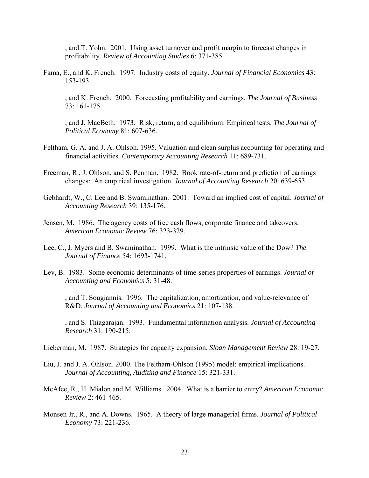, and T. Yohn. 2001. Using asset turnover and profit margin to forecast changes in profitability. *Review of Accounting Studies* 6: 371-385.

- Fama, E., and K. French. 1997. Industry costs of equity. *Journal of Financial Economics* 43: 153-193.
	- , and K. French. 2000. Forecasting profitability and earnings. *The Journal of Business* 73: 161-175.
		- , and J. MacBeth. 1973. Risk, return, and equilibrium: Empirical tests. *The Journal of Political Economy* 81: 607-636.
- Feltham, G. A. and J. A. Ohlson. 1995. Valuation and clean surplus accounting for operating and financial activities. *Contemporary Accounting Research* 11: 689-731.
- Freeman, R., J. Ohlson, and S. Penman. 1982. Book rate-of-return and prediction of earnings changes: An empirical investigation. *Journal of Accounting Research* 20: 639-653.
- Gebhardt, W., C. Lee and B. Swaminathan. 2001. Toward an implied cost of capital. *Journal of Accounting Research* 39: 135-176.
- Jensen, M. 1986. The agency costs of free cash flows, corporate finance and takeovers. *American Economic Review* 76: 323-329.
- Lee, C., J. Myers and B. Swaminathan. 1999. What is the intrinsic value of the Dow? *The Journal of Finance* 54: 1693-1741.
- Lev, B. 1983. Some economic determinants of time-series properties of earnings. *Journal of Accounting and Economics* 5: 31-48.
	- , and T. Sougiannis. 1996. The capitalization, amortization, and value-relevance of R&D. *Journal of Accounting and Economics* 21: 107-138.
- , and S. Thiagarajan. 1993. Fundamental information analysis. *Journal of Accounting Research* 31: 190-215.

Lieberman, M. 1987. Strategies for capacity expansion. *Sloan Management Review* 28: 19-27.

- Liu, J. and J. A. Ohlson. 2000. The Feltham-Ohlson (1995) model: empirical implications. *Journal of Accounting, Auditing and Finance* 15: 321-331.
- McAfee, R., H. Mialon and M. Williams. 2004. What is a barrier to entry? *American Economic Review* 2: 461-465.
- Monsen Jr., R., and A. Downs. 1965. A theory of large managerial firms. *Journal of Political Economy* 73: 221-236.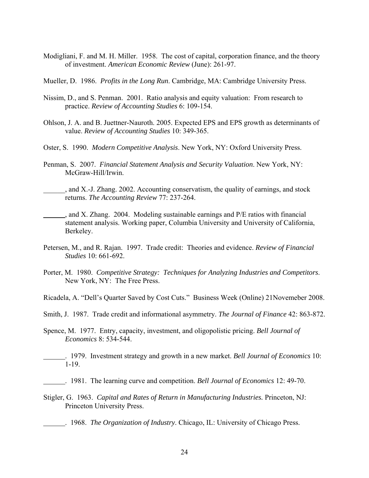Modigliani, F. and M. H. Miller. 1958. The cost of capital, corporation finance, and the theory of investment. *American Economic Review* (June): 261-97.

Mueller, D. 1986. *Profits in the Long Run*. Cambridge, MA: Cambridge University Press.

- Nissim, D., and S. Penman. 2001. Ratio analysis and equity valuation: From research to practice. *Review of Accounting Studies* 6: 109-154.
- Ohlson, J. A. and B. Juettner-Nauroth. 2005. Expected EPS and EPS growth as determinants of value. *Review of Accounting Studies* 10: 349-365.
- Oster, S. 1990. *Modern Competitive Analysis*. New York, NY: Oxford University Press.
- Penman, S. 2007. *Financial Statement Analysis and Security Valuation*. New York, NY: McGraw-Hill/Irwin.
- \_\_\_\_\_\_, and X.-J. Zhang. 2002. Accounting conservatism, the quality of earnings, and stock returns. *The Accounting Review* 77: 237-264.
- , and X. Zhang. 2004. Modeling sustainable earnings and P/E ratios with financial statement analysis. Working paper, Columbia University and University of California, Berkeley.
- Petersen, M., and R. Rajan. 1997. Trade credit: Theories and evidence. *Review of Financial Studies* 10: 661-692.
- Porter, M. 1980. *Competitive Strategy: Techniques for Analyzing Industries and Competitors*. New York, NY: The Free Press.

Ricadela, A. "Dell's Quarter Saved by Cost Cuts." Business Week (Online) 21Novemeber 2008.

Smith, J. 1987. Trade credit and informational asymmetry. *The Journal of Finance* 42: 863-872.

- Spence, M. 1977. Entry, capacity, investment, and oligopolistic pricing. *Bell Journal of Economics* 8: 534-544.
- . 1979. Investment strategy and growth in a new market. *Bell Journal of Economics* 10: 1-19.
- . 1981. The learning curve and competition. *Bell Journal of Economics* 12: 49-70.
- Stigler, G. 1963. *Capital and Rates of Return in Manufacturing Industries.* Princeton, NJ: Princeton University Press.
- . 1968. *The Organization of Industry*. Chicago, IL: University of Chicago Press.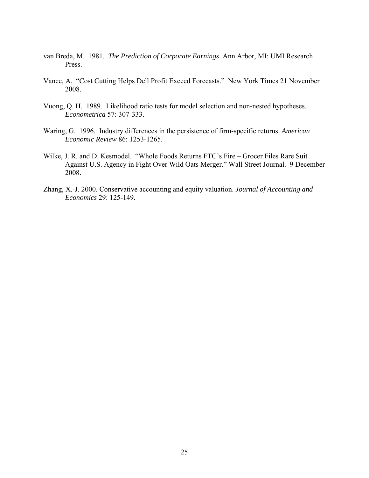- van Breda, M. 1981. *The Prediction of Corporate Earnings*. Ann Arbor, MI: UMI Research Press.
- Vance, A. "Cost Cutting Helps Dell Profit Exceed Forecasts." New York Times 21 November 2008.
- Vuong, Q. H. 1989. Likelihood ratio tests for model selection and non-nested hypotheses. *Econometrica* 57: 307-333.
- Waring, G. 1996. Industry differences in the persistence of firm-specific returns. *American Economic Review* 86: 1253-1265.
- Wilke, J. R. and D. Kesmodel. "Whole Foods Returns FTC's Fire Grocer Files Rare Suit Against U.S. Agency in Fight Over Wild Oats Merger." Wall Street Journal. 9 December 2008.
- Zhang, X.-J. 2000. Conservative accounting and equity valuation. *Journal of Accounting and Economics* 29: 125-149.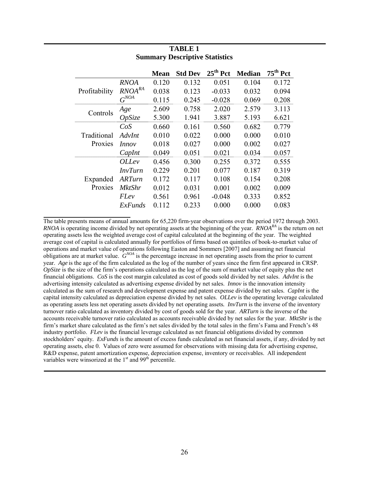|               |                | <b>Mean</b> | <b>Std Dev</b> | $25th$ Pct | <b>Median</b> | $75th$ Pct |
|---------------|----------------|-------------|----------------|------------|---------------|------------|
|               | <b>RNOA</b>    | 0.120       | 0.132          | 0.051      | 0.104         | 0.172      |
| Profitability | $RNOA^{RA}$    | 0.038       | 0.123          | $-0.033$   | 0.032         | 0.094      |
|               | $G^{NOA}$      | 0.115       | 0.245          | $-0.028$   | 0.069         | 0.208      |
| Controls      | Age            | 2.609       | 0.758          | 2.020      | 2.579         | 3.113      |
|               | OpSize         | 5.300       | 1.941          | 3.887      | 5.193         | 6.621      |
|               | CoS            | 0.660       | 0.161          | 0.560      | 0.682         | 0.779      |
| Traditional   | AdvInt         | 0.010       | 0.022          | 0.000      | 0.000         | 0.010      |
| Proxies       | Innov          | 0.018       | 0.027          | 0.000      | 0.002         | 0.027      |
|               | CapInt         | 0.049       | 0.051          | 0.021      | 0.034         | 0.057      |
|               | OLLev          | 0.456       | 0.300          | 0.255      | 0.372         | 0.555      |
|               | <i>InvTurn</i> | 0.229       | 0.201          | 0.077      | 0.187         | 0.319      |
| Expanded      | <b>ARTurn</b>  | 0.172       | 0.117          | 0.108      | 0.154         | 0.208      |
| Proxies       | <b>MktShr</b>  | 0.012       | 0.031          | 0.001      | 0.002         | 0.009      |
|               | FLev           | 0.561       | 0.961          | $-0.048$   | 0.333         | 0.852      |
|               | ExFunds        | 0.112       | 0.233          | 0.000      | 0.000         | 0.083      |

### **TABLE 1 Summary Descriptive Statistics**

The table presents means of annual amounts for 65,220 firm-year observations over the period 1972 through 2003. *RNOA* is operating income divided by net operating assets at the beginning of the year. *RNOA<sup>RA</sup>* is the return on net operating assets less the weighted average cost of capital calculated at the beginning of the year. The weighted average cost of capital is calculated annually for portfolios of firms based on quintiles of book-to-market value of operations and market value of operations following Easton and Sommers [2007] and assuming net financial obligations are at market value. *GNOA* is the percentage increase in net operating assets from the prior to current year. *Age* is the age of the firm calculated as the log of the number of years since the firm first appeared in CRSP. *OpSize* is the size of the firm's operations calculated as the log of the sum of market value of equity plus the net financial obligations. *CoS* is the cost margin calculated as cost of goods sold divided by net sales. *AdvInt* is the advertising intensity calculated as advertising expense divided by net sales. *Innov* is the innovation intensity calculated as the sum of research and development expense and patent expense divided by net sales. *CapInt* is the capital intensity calculated as depreciation expense divided by net sales. *OLLev* is the operating leverage calculated as operating assets less net operating assets divided by net operating assets*. InvTurn* is the inverse of the inventory turnover ratio calculated as inventory divided by cost of goods sold for the year. *ARTurn* is the inverse of the accounts receivable turnover ratio calculated as accounts receivable divided by net sales for the year. *MktShr* is the firm's market share calculated as the firm's net sales divided by the total sales in the firm's Fama and French's 48 industry portfolio. *FLev* is the financial leverage calculated as net financial obligations divided by common stockholders' equity*. ExFunds* is the amount of excess funds calculated as net financial assets, if any, divided by net operating assets, else 0. Values of zero were assumed for observations with missing data for advertising expense, R&D expense, patent amortization expense, depreciation expense, inventory or receivables. All independent variables were winsorized at the 1<sup>st</sup> and 99<sup>th</sup> percentile.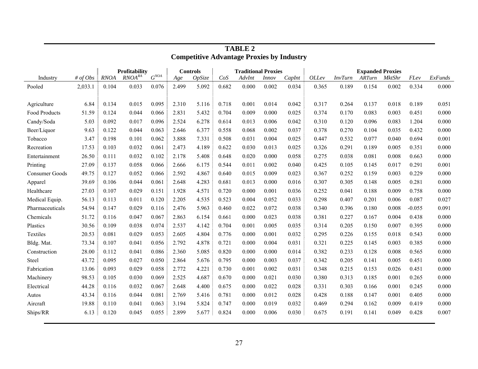|                      |            |             | Profitability                 |                    |       | <b>Controls</b> |       | <b>Traditional Proxies</b> |              |        | <b>Expanded Proxies</b> |         |        |               |          |         |
|----------------------|------------|-------------|-------------------------------|--------------------|-------|-----------------|-------|----------------------------|--------------|--------|-------------------------|---------|--------|---------------|----------|---------|
| Industry             | # of $Obs$ | <b>RNOA</b> | $\mathit{RNOA}^{\mathit{RA}}$ | $G^{\textit{NOA}}$ | Age   | OpSize          | CoS   | AdvInt                     | <i>Innov</i> | CapInt | OLLev                   | InvTurn | ARTurn | <b>MktShr</b> | FLev     | ExFunds |
| Pooled               | 2,033.1    | 0.104       | 0.033                         | 0.076              | 2.499 | 5.092           | 0.682 | 0.000                      | 0.002        | 0.034  | 0.365                   | 0.189   | 0.154  | 0.002         | 0.334    | 0.000   |
|                      |            |             |                               |                    |       |                 |       |                            |              |        |                         |         |        |               |          |         |
| Agriculture          | 6.84       | 0.134       | 0.015                         | 0.095              | 2.310 | 5.116           | 0.718 | 0.001                      | 0.014        | 0.042  | 0.317                   | 0.264   | 0.137  | 0.018         | 0.189    | 0.051   |
| <b>Food Products</b> | 51.59      | 0.124       | 0.044                         | 0.066              | 2.831 | 5.432           | 0.704 | 0.009                      | 0.000        | 0.025  | 0.374                   | 0.170   | 0.083  | 0.003         | 0.451    | 0.000   |
| Candy/Soda           | 5.03       | 0.092       | 0.017                         | 0.096              | 2.524 | 6.278           | 0.614 | 0.013                      | 0.006        | 0.042  | 0.310                   | 0.120   | 0.096  | 0.083         | 1.204    | 0.000   |
| Beer/Liquor          | 9.63       | 0.122       | 0.044                         | 0.063              | 2.646 | 6.377           | 0.558 | 0.068                      | 0.002        | 0.037  | 0.378                   | 0.270   | 0.104  | 0.035         | 0.432    | 0.000   |
| Tobacco              | 3.47       | 0.198       | 0.101                         | 0.062              | 3.888 | 7.331           | 0.508 | 0.031                      | 0.004        | 0.025  | 0.447                   | 0.532   | 0.077  | 0.040         | 0.694    | 0.001   |
| Recreation           | 17.53      | 0.103       | 0.032                         | 0.061              | 2.473 | 4.189           | 0.622 | 0.030                      | 0.013        | 0.025  | 0.326                   | 0.291   | 0.189  | 0.005         | 0.351    | 0.000   |
| Entertainment        | 26.50      | 0.111       | 0.032                         | 0.102              | 2.178 | 5.408           | 0.648 | 0.020                      | 0.000        | 0.058  | 0.275                   | 0.038   | 0.081  | 0.008         | 0.663    | 0.000   |
| Printing             | 27.09      | 0.137       | 0.058                         | 0.066              | 2.666 | 6.175           | 0.544 | 0.011                      | 0.002        | 0.040  | 0.425                   | 0.105   | 0.145  | 0.017         | 0.291    | 0.001   |
| Consumer Goods       | 49.75      | 0.127       | 0.052                         | 0.066              | 2.592 | 4.867           | 0.640 | 0.015                      | 0.009        | 0.023  | 0.367                   | 0.252   | 0.159  | 0.003         | 0.229    | 0.000   |
| Apparel              | 39.69      | 0.106       | 0.044                         | 0.061              | 2.648 | 4.283           | 0.681 | 0.013                      | 0.000        | 0.016  | 0.307                   | 0.305   | 0.148  | 0.005         | 0.281    | 0.000   |
| Healthcare           | 27.03      | 0.107       | 0.029                         | 0.151              | 1.928 | 4.571           | 0.720 | 0.000                      | 0.001        | 0.036  | 0.252                   | 0.041   | 0.188  | 0.009         | 0.758    | 0.000   |
| Medical Equip.       | 56.13      | 0.113       | 0.011                         | 0.120              | 2.205 | 4.535           | 0.523 | 0.004                      | 0.052        | 0.033  | 0.298                   | 0.407   | 0.201  | 0.006         | 0.087    | 0.027   |
| Pharmaceuticals      | 54.94      | 0.147       | 0.029                         | 0.116              | 2.476 | 5.963           | 0.460 | 0.022                      | 0.072        | 0.038  | 0.340                   | 0.396   | 0.180  | 0.008         | $-0.055$ | 0.091   |
| Chemicals            | 51.72      | 0.116       | 0.047                         | 0.067              | 2.863 | 6.154           | 0.661 | 0.000                      | 0.023        | 0.038  | 0.381                   | 0.227   | 0.167  | 0.004         | 0.438    | 0.000   |
| Plastics             | 30.56      | 0.109       | 0.038                         | 0.074              | 2.537 | 4.142           | 0.704 | 0.001                      | 0.005        | 0.035  | 0.314                   | 0.205   | 0.150  | 0.007         | 0.395    | 0.000   |
| Textiles             | 20.53      | 0.081       | 0.029                         | 0.053              | 2.605 | 4.804           | 0.776 | 0.000                      | 0.001        | 0.032  | 0.295                   | 0.226   | 0.155  | 0.018         | 0.543    | 0.000   |
| Bldg. Mat.           | 73.34      | 0.107       | 0.041                         | 0.056              | 2.792 | 4.878           | 0.721 | 0.000                      | 0.004        | 0.031  | 0.321                   | 0.225   | 0.145  | 0.003         | 0.385    | 0.000   |
| Construction         | 28.00      | 0.112       | 0.041                         | 0.086              | 2.360 | 5.085           | 0.820 | 0.000                      | 0.000        | 0.014  | 0.382                   | 0.233   | 0.128  | 0.008         | 0.565    | 0.000   |
| Steel                | 43.72      | 0.095       | 0.027                         | 0.050              | 2.864 | 5.676           | 0.795 | 0.000                      | 0.003        | 0.037  | 0.342                   | 0.205   | 0.141  | 0.005         | 0.451    | 0.000   |
| Fabrication          | 13.06      | 0.093       | 0.029                         | 0.058              | 2.772 | 4.221           | 0.730 | 0.001                      | 0.002        | 0.031  | 0.348                   | 0.215   | 0.153  | 0.026         | 0.451    | 0.000   |
| Machinery            | 98.53      | 0.105       | 0.030                         | 0.069              | 2.525 | 4.687           | 0.670 | 0.000                      | 0.021        | 0.030  | 0.380                   | 0.313   | 0.185  | 0.001         | 0.265    | 0.000   |
| Electrical           | 44.28      | 0.116       | 0.032                         | 0.067              | 2.648 | 4.400           | 0.675 | 0.000                      | 0.022        | 0.028  | 0.331                   | 0.303   | 0.166  | 0.001         | 0.245    | 0.000   |
| Autos                | 43.34      | 0.116       | 0.044                         | 0.081              | 2.769 | 5.416           | 0.781 | 0.000                      | 0.012        | 0.028  | 0.428                   | 0.188   | 0.147  | 0.001         | 0.405    | 0.000   |
| Aircraft             | 19.88      | 0.110       | 0.041                         | 0.063              | 3.194 | 5.824           | 0.747 | 0.000                      | 0.019        | 0.032  | 0.469                   | 0.294   | 0.162  | 0.009         | 0.419    | 0.000   |
| Ships/RR             | 6.13       | 0.120       | 0.045                         | 0.055              | 2.899 | 5.677           | 0.824 | 0.000                      | 0.006        | 0.030  | 0.675                   | 0.191   | 0.141  | 0.049         | 0.428    | 0.007   |
|                      |            |             |                               |                    |       |                 |       |                            |              |        |                         |         |        |               |          |         |

 **TABLE 2 Competitive Advantage Proxies by Industry**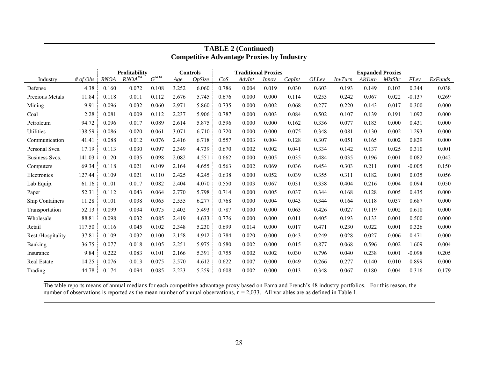|                       |            |             | <b>Profitability</b>          |             |       | <b>Controls</b> |       | <b>Traditional Proxies</b> |              |        | <b>Expanded Proxies</b> |                |               |               |          |         |
|-----------------------|------------|-------------|-------------------------------|-------------|-------|-----------------|-------|----------------------------|--------------|--------|-------------------------|----------------|---------------|---------------|----------|---------|
| Industry              | # of $Obs$ | <b>RNOA</b> | $\mathit{RNOA}^{\mathit{RA}}$ | $G^{NO\!A}$ | Age   | OpSize          | CoS   | AdvInt                     | <i>Innov</i> | CapInt | <i>OLLev</i>            | <b>InvTurn</b> | <b>ARTurn</b> | <b>MktShr</b> | FLev     | ExFunds |
| Defense               | 4.38       | 0.160       | 0.072                         | 0.108       | 3.252 | 6.060           | 0.786 | 0.004                      | 0.019        | 0.030  | 0.603                   | 0.193          | 0.149         | 0.103         | 0.344    | 0.038   |
| Precious Metals       | 11.84      | 0.118       | 0.011                         | 0.112       | 2.676 | 5.745           | 0.676 | 0.000                      | 0.000        | 0.114  | 0.253                   | 0.242          | 0.067         | 0.022         | $-0.137$ | 0.269   |
| Mining                | 9.91       | 0.096       | 0.032                         | 0.060       | 2.971 | 5.860           | 0.735 | 0.000                      | 0.002        | 0.068  | 0.277                   | 0.220          | 0.143         | 0.017         | 0.300    | 0.000   |
| Coal                  | 2.28       | 0.081       | 0.009                         | 0.112       | 2.237 | 5.906           | 0.787 | 0.000                      | 0.003        | 0.084  | 0.502                   | 0.107          | 0.139         | 0.191         | 1.092    | 0.000   |
| Petroleum             | 94.72      | 0.096       | 0.017                         | 0.089       | 2.614 | 5.875           | 0.596 | 0.000                      | 0.000        | 0.162  | 0.336                   | 0.077          | 0.183         | 0.000         | 0.431    | 0.000   |
| Utilities             | 138.59     | 0.086       | 0.020                         | 0.061       | 3.071 | 6.710           | 0.720 | 0.000                      | 0.000        | 0.075  | 0.348                   | 0.081          | 0.130         | 0.002         | 1.293    | 0.000   |
| Communication         | 41.41      | 0.088       | 0.012                         | 0.076       | 2.416 | 6.718           | 0.557 | 0.003                      | 0.004        | 0.128  | 0.307                   | 0.051          | 0.165         | 0.002         | 0.829    | 0.000   |
| Personal Svcs.        | 17.19      | 0.113       | 0.030                         | 0.097       | 2.349 | 4.739           | 0.670 | 0.002                      | 0.002        | 0.041  | 0.334                   | 0.142          | 0.137         | 0.025         | 0.310    | 0.001   |
| <b>Business Svcs.</b> | 141.03     | 0.120       | 0.035                         | 0.098       | 2.082 | 4.551           | 0.662 | 0.000                      | 0.005        | 0.035  | 0.484                   | 0.035          | 0.196         | 0.001         | 0.082    | 0.042   |
| Computers             | 69.34      | 0.118       | 0.021                         | 0.109       | 2.164 | 4.655           | 0.563 | 0.002                      | 0.069        | 0.036  | 0.454                   | 0.303          | 0.211         | 0.001         | $-0.005$ | 0.150   |
| Electronics           | 127.44     | 0.109       | 0.021                         | 0.110       | 2.425 | 4.245           | 0.638 | 0.000                      | 0.052        | 0.039  | 0.355                   | 0.311          | 0.182         | 0.001         | 0.035    | 0.056   |
| Lab Equip.            | 61.16      | 0.101       | 0.017                         | 0.082       | 2.404 | 4.070           | 0.550 | 0.003                      | 0.067        | 0.031  | 0.338                   | 0.404          | 0.216         | 0.004         | 0.094    | 0.050   |
| Paper                 | 52.31      | 0.112       | 0.043                         | 0.064       | 2.770 | 5.798           | 0.714 | 0.000                      | 0.005        | 0.037  | 0.344                   | 0.168          | 0.128         | 0.005         | 0.435    | 0.000   |
| Ship Containers       | 11.28      | 0.101       | 0.038                         | 0.065       | 2.555 | 6.277           | 0.768 | 0.000                      | 0.004        | 0.043  | 0.344                   | 0.164          | 0.118         | 0.037         | 0.687    | 0.000   |
| Transportation        | 52.13      | 0.099       | 0.034                         | 0.075       | 2.402 | 5.493           | 0.787 | 0.000                      | 0.000        | 0.063  | 0.426                   | 0.027          | 0.119         | 0.002         | 0.610    | 0.000   |
| Wholesale             | 88.81      | 0.098       | 0.032                         | 0.085       | 2.419 | 4.633           | 0.776 | 0.000                      | 0.000        | 0.011  | 0.405                   | 0.193          | 0.133         | 0.001         | 0.500    | 0.000   |
| Retail                | 117.50     | 0.116       | 0.045                         | 0.102       | 2.348 | 5.230           | 0.699 | 0.014                      | 0.000        | 0.017  | 0.471                   | 0.230          | 0.022         | 0.001         | 0.326    | 0.000   |
| Rest./Hospitality     | 37.81      | 0.109       | 0.032                         | 0.100       | 2.158 | 4.912           | 0.784 | 0.020                      | 0.000        | 0.043  | 0.249                   | 0.028          | 0.027         | 0.006         | 0.471    | 0.000   |
| Banking               | 36.75      | 0.077       | 0.018                         | 0.105       | 2.251 | 5.975           | 0.580 | 0.002                      | 0.000        | 0.015  | 0.877                   | 0.068          | 0.596         | 0.002         | 1.609    | 0.004   |
| Insurance             | 9.84       | 0.222       | 0.083                         | 0.101       | 2.166 | 5.391           | 0.755 | 0.002                      | 0.002        | 0.030  | 0.796                   | 0.040          | 0.238         | 0.001         | $-0.098$ | 0.205   |
| <b>Real Estate</b>    | 14.25      | 0.076       | 0.013                         | 0.075       | 2.570 | 4.612           | 0.622 | 0.007                      | 0.000        | 0.049  | 0.266                   | 0.277          | 0.140         | 0.010         | 0.899    | 0.000   |
| Trading               | 44.78      | 0.174       | 0.094                         | 0.085       | 2.223 | 5.259           | 0.608 | 0.002                      | 0.000        | 0.013  | 0.348                   | 0.067          | 0.180         | 0.004         | 0.316    | 0.179   |

# **TABLE 2 (Continued) Competitive Advantage Proxies by Industry**

The table reports means of annual medians for each competitive advantage proxy based on Fama and French's 48 industry portfolios. For this reason, the number of observations is reported as the mean number of annual observations, n = 2,033. All variables are as defined in Table 1.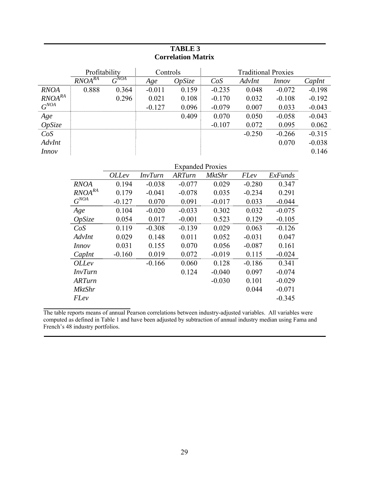# **TABLE 3 Correlation Matrix**

|                               | Profitability |           | Controls |        |          | <b>Traditional Proxies</b> |              |          |
|-------------------------------|---------------|-----------|----------|--------|----------|----------------------------|--------------|----------|
|                               | $RNOA^{RA}$   | $G^{NOA}$ | Age      | OpSize | CoS      | AdvInt                     | <i>Innov</i> | CapInt   |
| <b>RNOA</b>                   | 0.888         | 0.364     | $-0.011$ | 0.159  | $-0.235$ | 0.048                      | $-0.072$     | $-0.198$ |
| $\mathit{RNOA}^{\mathit{RA}}$ |               | 0.296     | 0.021    | 0.108  | $-0.170$ | 0.032                      | $-0.108$     | $-0.192$ |
| $G^{NOA}$                     |               |           | $-0.127$ | 0.096  | $-0.079$ | 0.007                      | 0.033        | $-0.043$ |
| Age                           |               |           |          | 0.409  | 0.070    | 0.050                      | $-0.058$     | $-0.043$ |
| OpSize                        |               |           |          |        | $-0.107$ | 0.072                      | 0.095        | 0.062    |
| CoS                           |               |           |          |        |          | $-0.250$                   | $-0.266$     | $-0.315$ |
| AdvInt                        |               |           |          |        |          |                            | 0.070        | $-0.038$ |
| Innov                         |               |           |          |        |          |                            |              | 0.146    |

|                |              |                | <b>Expanded Proxies</b> |               |             |          |
|----------------|--------------|----------------|-------------------------|---------------|-------------|----------|
|                | <i>OLLev</i> | <b>InvTurn</b> | ARTurn                  | <i>MktShr</i> | <i>FLev</i> | ExFunds  |
| <b>RNOA</b>    | 0.194        | $-0.038$       | $-0.077$                | 0.029         | $-0.280$    | 0.347    |
| $RNOA^{RA}$    | 0.179        | $-0.041$       | $-0.078$                | 0.035         | $-0.234$    | 0.291    |
| $G^{NOA}$      | $-0.127$     | 0.070          | 0.091                   | $-0.017$      | 0.033       | $-0.044$ |
| Age            | 0.104        | $-0.020$       | $-0.033$                | 0.302         | 0.032       | $-0.075$ |
| OpSize         | 0.054        | 0.017          | $-0.001$                | 0.523         | 0.129       | $-0.105$ |
| CoS            | 0.119        | $-0.308$       | $-0.139$                | 0.029         | 0.063       | $-0.126$ |
| AdvInt         | 0.029        | 0.148          | 0.011                   | 0.052         | $-0.031$    | 0.047    |
| Innov          | 0.031        | 0.155          | 0.070                   | 0.056         | $-0.087$    | 0.161    |
| CapInt         | $-0.160$     | 0.019          | 0.072                   | $-0.019$      | 0.115       | $-0.024$ |
| <i>OLLev</i>   |              | $-0.166$       | 0.060                   | 0.128         | $-0.186$    | 0.341    |
| <i>InvTurn</i> |              |                | 0.124                   | $-0.040$      | 0.097       | $-0.074$ |
| ARTurn         |              |                |                         | $-0.030$      | 0.101       | $-0.029$ |
| <i>MktShr</i>  |              |                |                         |               | 0.044       | $-0.071$ |
| FLev           |              |                |                         |               |             | $-0.345$ |

The table reports means of annual Pearson correlations between industry-adjusted variables. All variables were computed as defined in Table 1 and have been adjusted by subtraction of annual industry median using Fama and French's 48 industry portfolios.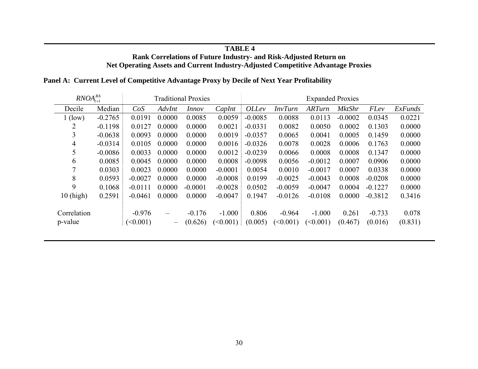#### **TABLE 4 Rank Correlations of Future Industry- and Risk-Adjusted Return on Net Operating Assets and Current Industry-Adjusted Competitive Advantage Proxies**

| $RNOA_{t+1}^{RA}$ |           |           |                          | <b>Traditional Proxies</b> |           | <b>Expanded Proxies</b> |                |               |               |             |         |
|-------------------|-----------|-----------|--------------------------|----------------------------|-----------|-------------------------|----------------|---------------|---------------|-------------|---------|
| Decile            | Median    | CoS       | AdvInt                   | <i>Innov</i>               | CapInt    | <i>OLLev</i>            | <i>InvTurn</i> | <b>ARTurn</b> | <b>MktShr</b> | <b>FLev</b> | ExFunds |
| $1$ (low)         | $-0.2765$ | 0.0191    | 0.0000                   | 0.0085                     | 0.0059    | $-0.0085$               | 0.0088         | 0.0113        | $-0.0002$     | 0.0345      | 0.0221  |
| 2                 | $-0.1198$ | 0.0127    | 0.0000                   | 0.0000                     | 0.0021    | $-0.0331$               | 0.0082         | 0.0050        | 0.0002        | 0.1303      | 0.0000  |
| 3                 | $-0.0638$ | 0.0093    | 0.0000                   | 0.0000                     | 0.0019    | $-0.0357$               | 0.0065         | 0.0041        | 0.0005        | 0.1459      | 0.0000  |
| 4                 | $-0.0314$ | 0.0105    | 0.0000                   | 0.0000                     | 0.0016    | $-0.0326$               | 0.0078         | 0.0028        | 0.0006        | 0.1763      | 0.0000  |
| 5                 | $-0.0086$ | 0.0033    | 0.0000                   | 0.0000                     | 0.0012    | $-0.0239$               | 0.0066         | 0.0008        | 0.0008        | 0.1347      | 0.0000  |
| 6                 | 0.0085    | 0.0045    | 0.0000                   | 0.0000                     | 0.0008    | $-0.0098$               | 0.0056         | $-0.0012$     | 0.0007        | 0.0906      | 0.0000  |
| $\overline{7}$    | 0.0303    | 0.0023    | 0.0000                   | 0.0000                     | $-0.0001$ | 0.0054                  | 0.0010         | $-0.0017$     | 0.0007        | 0.0338      | 0.0000  |
| 8                 | 0.0593    | $-0.0027$ | 0.0000                   | 0.0000                     | $-0.0008$ | 0.0199                  | $-0.0025$      | $-0.0043$     | 0.0008        | $-0.0208$   | 0.0000  |
| 9                 | 0.1068    | $-0.0111$ | 0.0000                   | $-0.0001$                  | $-0.0028$ | 0.0502                  | $-0.0059$      | $-0.0047$     | 0.0004        | $-0.1227$   | 0.0000  |
| $10$ (high)       | 0.2591    | $-0.0461$ | 0.0000                   | 0.0000                     | $-0.0047$ | 0.1947                  | $-0.0126$      | $-0.0108$     | 0.0000        | $-0.3812$   | 0.3416  |
|                   |           |           |                          |                            |           |                         |                |               |               |             |         |
| Correlation       |           | $-0.976$  |                          | $-0.176$                   | $-1.000$  | 0.806                   | $-0.964$       | $-1.000$      | 0.261         | $-0.733$    | 0.078   |
| p-value           |           | (<0.001)  | $\overline{\phantom{m}}$ | (0.626)                    | (<0.001)  | (0.005)                 | (<0.001)       | (<0.001)      | (0.467)       | (0.016)     | (0.831) |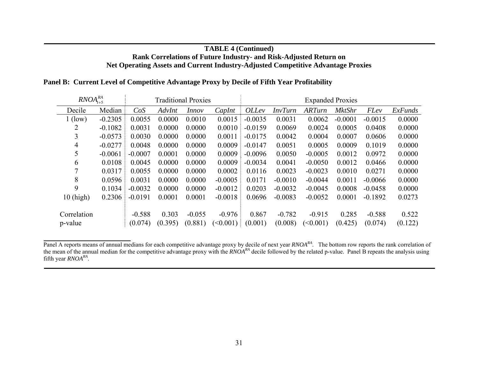# **TABLE 4 (Continued) Rank Correlations of Future Industry- and Risk-Adjusted Return on Net Operating Assets and Current Industry-Adjusted Competitive Advantage Proxies**

| $RNOA_{t+5}^{RA}$ |           |           |         | <b>Traditional Proxies</b> |           | <b>Expanded Proxies</b> |                |               |               |             |         |
|-------------------|-----------|-----------|---------|----------------------------|-----------|-------------------------|----------------|---------------|---------------|-------------|---------|
| Decile            | Median    | CoS       | AdvInt  | <i>Innov</i>               | CapInt    | <i>OLLev</i>            | <b>InvTurn</b> | <b>ARTurn</b> | <b>MktShr</b> | <b>FLev</b> | ExFunds |
| $1$ (low)         | $-0.2305$ | 0.0055    | 0.0000  | 0.0010                     | 0.0015    | $-0.0035$               | 0.0031         | 0.0062        | $-0.0001$     | $-0.0015$   | 0.0000  |
|                   | $-0.1082$ | 0.0031    | 0.0000  | 0.0000                     | 0.0010    | $-0.0159$               | 0.0069         | 0.0024        | 0.0005        | 0.0408      | 0.0000  |
| 3                 | $-0.0573$ | 0.0030    | 0.0000  | 0.0000                     | 0.0011    | $-0.0175$               | 0.0042         | 0.0004        | 0.0007        | 0.0606      | 0.0000  |
| 4                 | $-0.0277$ | 0.0048    | 0.0000  | 0.0000                     | 0.0009    | $-0.0147$               | 0.0051         | 0.0005        | 0.0009        | 0.1019      | 0.0000  |
| 5                 | $-0.0061$ | $-0.0007$ | 0.0001  | 0.0000                     | 0.0009    | $-0.0096$               | 0.0050         | $-0.0005$     | 0.0012        | 0.0972      | 0.0000  |
| 6                 | 0.0108    | 0.0045    | 0.0000  | 0.0000                     | 0.0009    | $-0.0034$               | 0.0041         | $-0.0050$     | 0.0012        | 0.0466      | 0.0000  |
| 7                 | 0.0317    | 0.0055    | 0.0000  | 0.0000                     | 0.0002    | 0.0116                  | 0.0023         | $-0.0023$     | 0.0010        | 0.0271      | 0.0000  |
| 8                 | 0.0596    | 0.0031    | 0.0000  | 0.0000                     | $-0.0005$ | 0.0171                  | $-0.0010$      | $-0.0044$     | 0.0011        | $-0.0066$   | 0.0000  |
| 9                 | 0.1034    | $-0.0032$ | 0.0000  | 0.0000                     | $-0.0012$ | 0.0203                  | $-0.0032$      | $-0.0045$     | 0.0008        | $-0.0458$   | 0.0000  |
| $10$ (high)       | 0.2306    | $-0.0191$ | 0.0001  | 0.0001                     | $-0.0018$ | 0.0696                  | $-0.0083$      | $-0.0052$     | 0.0001        | $-0.1892$   | 0.0273  |
|                   |           |           |         |                            |           |                         |                |               |               |             |         |
| Correlation       |           | $-0.588$  | 0.303   | $-0.055$                   | $-0.976$  | 0.867                   | $-0.782$       | $-0.915$      | 0.285         | $-0.588$    | 0.522   |
| p-value           |           | (0.074)   | (0.395) | (0.881)                    | (<0.001)  | (0.001)                 | (0.008)        | (<0.001)      | (0.425)       | (0.074)     | (0.122) |

Panel A reports means of annual medians for each competitive advantage proxy by decile of next year *RNOARA*. The bottom row reports the rank correlation of the mean of the annual median for the competitive advantage proxy with the *RNOARA* decile followed by the related p-value. Panel B repeats the analysis using fifth year *RNOARA*.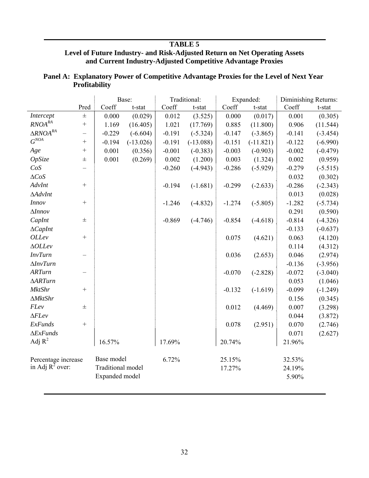# **TABLE 5**

### **Level of Future Industry- and Risk-Adjusted Return on Net Operating Assets and Current Industry-Adjusted Competitive Advantage Proxies**

|                       |                   |                          | Base:       |          | Traditional: |          | Expanded:   |          | Diminishing Returns: |
|-----------------------|-------------------|--------------------------|-------------|----------|--------------|----------|-------------|----------|----------------------|
|                       | Pred              | Coeff                    | t-stat      | Coeff    | t-stat       | Coeff    | t-stat      | Coeff    | $t$ -stat            |
| Intercept             | $\pm$             | 0.000                    | (0.029)     | 0.012    | (3.525)      | 0.000    | (0.017)     | 0.001    | (0.305)              |
| $RNOA^{RA}$           | $\qquad \qquad +$ | 1.169                    | (16.405)    | 1.021    | (17.769)     | 0.885    | (11.800)    | 0.906    | (11.544)             |
| $\triangle RNOA^{RA}$ | -                 | $-0.229$                 | $(-6.604)$  | $-0.191$ | $(-5.324)$   | $-0.147$ | $(-3.865)$  | $-0.141$ | $(-3.454)$           |
| $G^{NOA}$             | $^{+}$            | $-0.194$                 | $(-13.026)$ | $-0.191$ | $(-13.088)$  | $-0.151$ | $(-11.821)$ | $-0.122$ | $(-6.990)$           |
| Age                   | $^{+}$            | 0.001                    | (0.356)     | $-0.001$ | $(-0.383)$   | $-0.003$ | $(-0.903)$  | $-0.002$ | $(-0.479)$           |
| OpSize                | $_{\pm}$          | 0.001                    | (0.269)     | 0.002    | (1.200)      | 0.003    | (1.324)     | 0.002    | (0.959)              |
| CoS                   |                   |                          |             | $-0.260$ | $(-4.943)$   | $-0.286$ | $(-5.929)$  | $-0.279$ | $(-5.515)$           |
| $\triangle CoS$       |                   |                          |             |          |              |          |             | 0.032    | (0.302)              |
| AdvInt                | $^{+}$            |                          |             | $-0.194$ | $(-1.681)$   | $-0.299$ | $(-2.633)$  | $-0.286$ | $(-2.343)$           |
| $\Delta$ AdvInt       |                   |                          |             |          |              |          |             | 0.013    | (0.028)              |
| <b>Innov</b>          | $+$               |                          |             | $-1.246$ | $(-4.832)$   | $-1.274$ | $(-5.805)$  | $-1.282$ | $(-5.734)$           |
| $\Delta$ <i>Innov</i> |                   |                          |             |          |              |          |             | 0.291    | (0.590)              |
| CapInt                | $\pm$             |                          |             | $-0.869$ | $(-4.746)$   | $-0.854$ | $(-4.618)$  | $-0.814$ | $(-4.326)$           |
| $\Delta CapInt$       |                   |                          |             |          |              |          |             | $-0.133$ | $(-0.637)$           |
| <i>OLLev</i>          | $^{+}$            |                          |             |          |              | 0.075    | (4.621)     | 0.063    | (4.120)              |
| $\triangle OLLev$     |                   |                          |             |          |              |          |             | 0.114    | (4.312)              |
| <b>InvTurn</b>        |                   |                          |             |          |              | 0.036    | (2.653)     | 0.046    | (2.974)              |
| $\Delta InvTurn$      |                   |                          |             |          |              |          |             | $-0.136$ | $(-3.956)$           |
| <b>ARTurn</b>         |                   |                          |             |          |              | $-0.070$ | $(-2.828)$  | $-0.072$ | $(-3.040)$           |
| $\triangle ARTurn$    |                   |                          |             |          |              |          |             | 0.053    | (1.046)              |
| <b>MktShr</b>         | $^{+}$            |                          |             |          |              | $-0.132$ | $(-1.619)$  | $-0.099$ | $(-1.249)$           |
| $\Delta MktShr$       |                   |                          |             |          |              |          |             | 0.156    | (0.345)              |
| FLev                  | $\pm$             |                          |             |          |              | 0.012    | (4.469)     | 0.007    | (3.298)              |
| $\Delta F$ Lev        |                   |                          |             |          |              |          |             | 0.044    | (3.872)              |
| <b>ExFunds</b>        | $^{+}$            |                          |             |          |              | 0.078    | (2.951)     | 0.070    | (2.746)              |
| $\Delta ExFunds$      |                   |                          |             |          |              |          |             | 0.071    | (2.627)              |
| Adj $R^2$             |                   | 16.57%                   |             | 17.69%   |              | 20.74%   |             | 21.96%   |                      |
| Percentage increase   |                   | Base model               |             | 6.72%    |              | 25.15%   |             | 32.53%   |                      |
| in Adj $R^2$ over:    |                   | <b>Traditional model</b> |             |          |              | 17.27%   |             | 24.19%   |                      |
|                       |                   | Expanded model           |             |          |              |          |             | 5.90%    |                      |

| Panel A: Explanatory Power of Competitive Advantage Proxies for the Level of Next Year |
|----------------------------------------------------------------------------------------|
| <b>Profitability</b>                                                                   |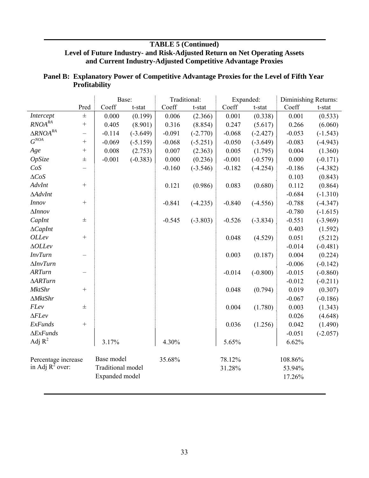# **TABLE 5 (Continued) Level of Future Industry- and Risk-Adjusted Return on Net Operating Assets and Current Industry-Adjusted Competitive Advantage Proxies**

|                               |                          | Base:                    |            |          | Traditional: |          | Expanded:  | Diminishing Returns: |            |
|-------------------------------|--------------------------|--------------------------|------------|----------|--------------|----------|------------|----------------------|------------|
|                               | Pred                     | Coeff                    | t-stat     | Coeff    | t-stat       | Coeff    | t-stat     | Coeff                | t-stat     |
| Intercept                     | 士                        | 0.000                    | (0.199)    | 0.006    | (2.366)      | 0.001    | (0.338)    | 0.001                | (0.533)    |
| $\mathit{RNOA}^{\mathit{RA}}$ | $\qquad \qquad +$        | 0.405                    | (8.901)    | 0.316    | (8.854)      | 0.247    | (5.617)    | 0.266                | (6.060)    |
| $\triangle RNOA^{RA}$         | -                        | $-0.114$                 | $(-3.649)$ | $-0.091$ | $(-2.770)$   | $-0.068$ | $(-2.427)$ | $-0.053$             | $(-1.543)$ |
| $G^{NOA}$                     | $^{+}$                   | $-0.069$                 | $(-5.159)$ | $-0.068$ | $(-5.251)$   | $-0.050$ | $(-3.649)$ | $-0.083$             | $(-4.943)$ |
| Age                           | $\qquad \qquad +$        | 0.008                    | (2.753)    | 0.007    | (2.363)      | 0.005    | (1.795)    | 0.004                | (1.360)    |
| OpSize                        | $\pm$                    | $-0.001$                 | $(-0.383)$ | 0.000    | (0.236)      | $-0.001$ | $(-0.579)$ | 0.000                | $(-0.171)$ |
| CoS                           |                          |                          |            | $-0.160$ | $(-3.546)$   | $-0.182$ | $(-4.254)$ | $-0.186$             | $(-4.382)$ |
| $\triangle CoS$               |                          |                          |            |          |              |          |            | 0.103                | (0.843)    |
| AdvInt                        | $\qquad \qquad +$        |                          |            | 0.121    | (0.986)      | 0.083    | (0.680)    | 0.112                | (0.864)    |
| $\Delta$ AdvInt               |                          |                          |            |          |              |          |            | $-0.684$             | $(-1.310)$ |
| Innov                         | $\qquad \qquad +$        |                          |            | $-0.841$ | $(-4.235)$   | $-0.840$ | $(-4.556)$ | $-0.788$             | $(-4.347)$ |
| $\Delta Innov$                |                          |                          |            |          |              |          |            | $-0.780$             | $(-1.615)$ |
| CapInt                        | $\pm$                    |                          |            | $-0.545$ | $(-3.803)$   | $-0.526$ | $(-3.834)$ | $-0.551$             | $(-3.969)$ |
| $\Delta CapInt$               |                          |                          |            |          |              |          |            | 0.403                | (1.592)    |
| <b>OLLev</b>                  | $^{+}$                   |                          |            |          |              | 0.048    | (4.529)    | 0.051                | (5.212)    |
| $\triangle OLLev$             |                          |                          |            |          |              |          |            | $-0.014$             | $(-0.481)$ |
| InvTurn                       | $\overline{\phantom{0}}$ |                          |            |          |              | 0.003    | (0.187)    | 0.004                | (0.224)    |
| $\Delta InvTurn$              |                          |                          |            |          |              |          |            | $-0.006$             | $(-0.142)$ |
| <b>ARTurn</b>                 |                          |                          |            |          |              | $-0.014$ | $(-0.800)$ | $-0.015$             | $(-0.860)$ |
| $\triangle$ ARTurn            |                          |                          |            |          |              |          |            | $-0.012$             | $(-0.211)$ |
| <b>MktShr</b>                 | $^{+}$                   |                          |            |          |              | 0.048    | (0.794)    | 0.019                | (0.307)    |
| $\Delta MktShr$               |                          |                          |            |          |              |          |            | $-0.067$             | $(-0.186)$ |
| FLev                          | $\pm$                    |                          |            |          |              | 0.004    | (1.780)    | 0.003                | (1.343)    |
| $\Delta F$ Lev                |                          |                          |            |          |              |          |            | 0.026                | (4.648)    |
| ExFunds                       | $^{+}$                   |                          |            |          |              | 0.036    | (1.256)    | 0.042                | (1.490)    |
| $\Delta ExFunds$              |                          |                          |            |          |              |          |            | $-0.051$             | $(-2.057)$ |
| Adj $R^2$                     |                          | 3.17%                    |            | 4.30%    |              | 5.65%    |            | 6.62%                |            |
| Percentage increase           |                          | Base model               |            | 35.68%   |              | 78.12%   |            | 108.86%              |            |
| in Adj $R^2$ over:            |                          | <b>Traditional</b> model |            |          |              | 31.28%   |            | 53.94%               |            |
|                               |                          | Expanded model           |            |          |              |          |            | 17.26%               |            |

# **Panel B: Explanatory Power of Competitive Advantage Proxies for the Level of Fifth Year Profitability**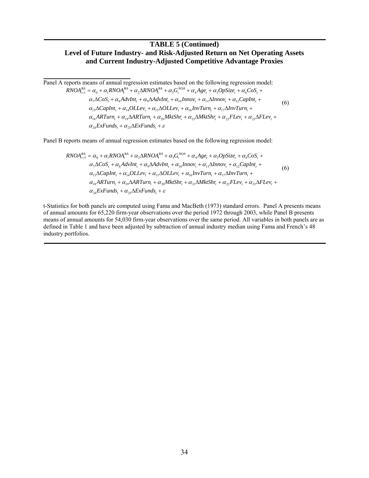### **TABLE 5 (Continued) Level of Future Industry- and Risk-Adjusted Return on Net Operating Assets and Current Industry-Adjusted Competitive Advantage Proxies**

Panel A reports means of annual regression estimates based on the following regression model:  $\alpha_{24} \text{ExFunds}_t + \alpha_{25} \Delta \text{ExFunds}_t + \varepsilon$  $\alpha_{18}$ ARTurn<sub>t</sub></sub> +  $\alpha_{19}$  $\Delta$ ARTurn<sub>t</sub> +  $\alpha_{20}$ MktShr<sub>t</sub> +  $\alpha_{21}$  $\Delta$ MktShr<sub>t</sub> +  $\alpha_{22}$ FLev<sub>t</sub> +  $\alpha_{23}$  $\Delta$ FLev<sub>t</sub> +  $\alpha_{13}\Delta CapInt_t + \alpha_{14} OLLev_t + \alpha_{15}\Delta OLLev_t + \alpha_{16}InvTurn_t + \alpha_{17}\Delta InvTurn_t +$  $\alpha_7 \Delta \text{CoS}_t + \alpha_8 \text{AdvInt}_t + \alpha_9 \Delta \text{AdvInt}_t + \alpha_{10} \text{Innov}_t + \alpha_{11} \Delta \text{Innov}_t + \alpha_{12} \text{CapInt}_t +$  $RNOA_{t+1}^{RA} = \alpha_0 + \alpha_1 RNOA_t^{RA} + \alpha_2 \Delta RNOA_t^{RA} + \alpha_3 G_t^{NA} + \alpha_4 Age_t + \alpha_5 OpSize_t + \alpha_6 Cos_t +$ (6)

Panel B reports means of annual regression estimates based on the following regression model:

$$
RNOA_{t+5}^{RA} = \alpha_0 + \alpha_1 RNOA_t^{RA} + \alpha_2 \Delta RNOA_t^{RA} + \alpha_3 G_t^{NOA} + \alpha_4 Age_t + \alpha_5 OpSize_t + \alpha_6 Cos_t + \alpha_7 \Delta Cos_t + \alpha_8 AdvInt_t + \alpha_9 \Delta dvInt_t + \alpha_{10} Innov_t + \alpha_{11} \Delta Innov_t + \alpha_{12} CapInt_t + \alpha_{13} \Delta CapInt_t + \alpha_{13} \Delta CapInt_t + \alpha_{14} OILEv_t + \alpha_{15} \Delta OLLev_t + \alpha_{16} InvTurn_t + \alpha_{17} \Delta InvTurn_t + \alpha_{18} ARTurn_t + \alpha_{19} \Delta ARTurn_t + \alpha_{20} MktShr_t + \alpha_{21} \Delta MktShr_t + \alpha_{22} FLev_t + \alpha_{23} \Delta FLev_t + \alpha_{24} ExtFunds_t + \alpha_{25} \Delta ExtFunds_t + \varepsilon
$$

t-Statistics for both panels are computed using Fama and MacBeth (1973) standard errors. Panel A presents means of annual amounts for 65,220 firm-year observations over the period 1972 through 2003, while Panel B presents means of annual amounts for 54,030 firm-year observations over the same period. All variables in both panels are as defined in Table 1 and have been adjusted by subtraction of annual industry median using Fama and French's 48 industry portfolios.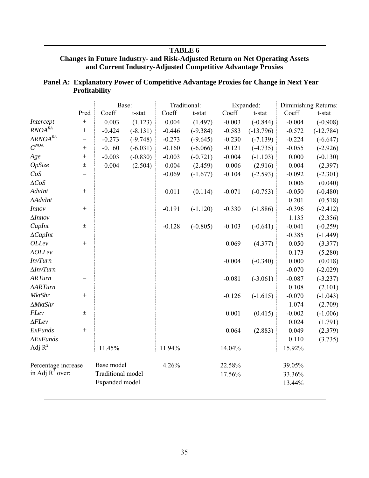### **TABLE 6**

### **Changes in Future Industry- and Risk-Adjusted Return on Net Operating Assets and Current Industry-Adjusted Competitive Advantage Proxies**

# **Panel A: Explanatory Power of Competitive Advantage Proxies for Change in Next Year Profitability**

|                       |                   | Base:             |            | Traditional: |            | Expanded: |             | Diminishing Returns: |             |
|-----------------------|-------------------|-------------------|------------|--------------|------------|-----------|-------------|----------------------|-------------|
|                       | Pred              | Coeff             | t-stat     | Coeff        | t-stat     | Coeff     | t-stat      | Coeff                | t-stat      |
| Intercept             | $\pm$             | 0.003             | (1.123)    | 0.004        | (1.497)    | $-0.003$  | $(-0.844)$  | $-0.004$             | $(-0.908)$  |
| $RNOA^{RA}$           | $\! + \!$         | $-0.424$          | $(-8.131)$ | $-0.446$     | $(-9.384)$ | $-0.583$  | $(-13.796)$ | $-0.572$             | $(-12.784)$ |
| $\triangle RNOA^{RA}$ | -                 | $-0.273$          | $(-9.748)$ | $-0.273$     | $(-9.645)$ | $-0.230$  | $(-7.139)$  | $-0.224$             | $(-6.647)$  |
| $G^{NOA}$             | $\! + \!$         | $-0.160$          | $(-6.031)$ | $-0.160$     | $(-6.066)$ | $-0.121$  | $(-4.735)$  | $-0.055$             | $(-2.926)$  |
| Age                   | $\qquad \qquad +$ | $-0.003$          | $(-0.830)$ | $-0.003$     | $(-0.721)$ | $-0.004$  | $(-1.103)$  | 0.000                | $(-0.130)$  |
| OpSize                | $\pm$             | 0.004             | (2.504)    | 0.004        | (2.459)    | 0.006     | (2.916)     | 0.004                | (2.397)     |
| $CoS$                 |                   |                   |            | $-0.069$     | $(-1.677)$ | $-0.104$  | $(-2.593)$  | $-0.092$             | $(-2.301)$  |
| $\triangle CoS$       |                   |                   |            |              |            |           |             | 0.006                | (0.040)     |
| AdvInt                | $\! + \!$         |                   |            | 0.011        | (0.114)    | $-0.071$  | $(-0.753)$  | $-0.050$             | $(-0.480)$  |
| $\Delta$ AdvInt       |                   |                   |            |              |            |           |             | 0.201                | (0.518)     |
| <b>Innov</b>          | $\qquad \qquad +$ |                   |            | $-0.191$     | $(-1.120)$ | $-0.330$  | $(-1.886)$  | $-0.396$             | $(-2.412)$  |
| $\Delta Innov$        |                   |                   |            |              |            |           |             | 1.135                | (2.356)     |
| CapInt                | 士                 |                   |            | $-0.128$     | $(-0.805)$ | $-0.103$  | $(-0.641)$  | $-0.041$             | $(-0.259)$  |
| $\Delta CapInt$       |                   |                   |            |              |            |           |             | $-0.385$             | $(-1.449)$  |
| <b>OLLev</b>          | $\qquad \qquad +$ |                   |            |              |            | 0.069     | (4.377)     | 0.050                | (3.377)     |
| $\triangle OLLev$     |                   |                   |            |              |            |           |             | 0.173                | (5.280)     |
| <b>InvTurn</b>        | —                 |                   |            |              |            | $-0.004$  | $(-0.340)$  | 0.000                | (0.018)     |
| $\Delta InvTurn$      |                   |                   |            |              |            |           |             | $-0.070$             | $(-2.029)$  |
| <b>ARTurn</b>         |                   |                   |            |              |            | $-0.081$  | $(-3.061)$  | $-0.087$             | $(-3.237)$  |
| $\triangle$ ARTurn    |                   |                   |            |              |            |           |             | 0.108                | (2.101)     |
| <b>MktShr</b>         | $\! + \!$         |                   |            |              |            | $-0.126$  | $(-1.615)$  | $-0.070$             | $(-1.043)$  |
| $\Delta MktShr$       |                   |                   |            |              |            |           |             | 1.074                | (2.709)     |
| FLev                  | $\pm$             |                   |            |              |            | 0.001     | (0.415)     | $-0.002$             | $(-1.006)$  |
| $\Delta F$ <i>Lev</i> |                   |                   |            |              |            |           |             | 0.024                | (1.791)     |
| <b>ExFunds</b>        | $^{+}$            |                   |            |              |            | 0.064     | (2.883)     | 0.049                | (2.379)     |
| $\Delta ExFunds$      |                   |                   |            |              |            |           |             | 0.110                | (3.735)     |
| Adj $R^2$             |                   | 11.45%            |            | 11.94%       |            | 14.04%    |             | 15.92%               |             |
| Percentage increase   |                   | Base model        |            | 4.26%        |            | 22.58%    |             | 39.05%               |             |
| in Adj $R^2$ over:    |                   | Traditional model |            |              |            | 17.56%    |             | 33.36%               |             |
|                       |                   | Expanded model    |            |              |            |           |             | 13.44%               |             |
|                       |                   |                   |            |              |            |           |             |                      |             |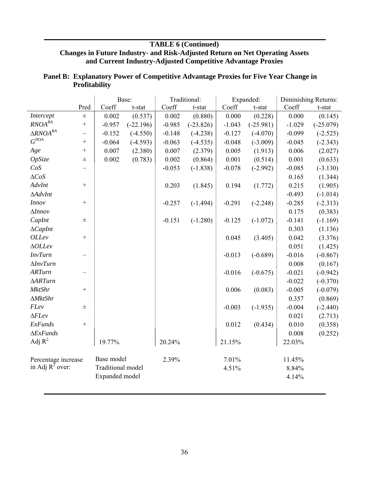# **TABLE 6 (Continued) Changes in Future Industry- and Risk-Adjusted Return on Net Operating Assets and Current Industry-Adjusted Competitive Advantage Proxies**

|                               |                          | Base:             |             | Traditional: |             | Expanded: |             | Diminishing Returns: |             |
|-------------------------------|--------------------------|-------------------|-------------|--------------|-------------|-----------|-------------|----------------------|-------------|
|                               | Pred                     | Coeff             | t-stat      | Coeff        | t-stat      | Coeff     | $t$ -stat   | Coeff                | t-stat      |
| Intercept                     | $\pm$                    | 0.002             | (0.537)     | 0.002        | (0.880)     | 0.000     | (0.228)     | 0.000                | (0.145)     |
| $\mathit{RNOA}^{\mathit{RA}}$ | $\qquad \qquad +$        | $-0.957$          | $(-22.196)$ | $-0.985$     | $(-23.826)$ | $-1.043$  | $(-25.981)$ | $-1.029$             | $(-25.079)$ |
| $\triangle RNOA^{RA}$         | $\overline{\phantom{0}}$ | $-0.152$          | $(-4.550)$  | $-0.148$     | $(-4.238)$  | $-0.127$  | $(-4.070)$  | $-0.099$             | $(-2.525)$  |
| $G^{NOA}$                     | $^{+}$                   | $-0.064$          | $(-4.593)$  | $-0.063$     | $(-4.535)$  | $-0.048$  | $(-3.009)$  | $-0.045$             | $(-2.343)$  |
| Age                           | $^{+}$                   | 0.007             | (2.380)     | 0.007        | (2.379)     | 0.005     | (1.913)     | 0.006                | (2.027)     |
| OpSize                        | $\pm$                    | 0.002             | (0.783)     | 0.002        | (0.864)     | 0.001     | (0.514)     | 0.001                | (0.633)     |
| CoS                           |                          |                   |             | $-0.053$     | $(-1.838)$  | $-0.078$  | $(-2.992)$  | $-0.085$             | $(-3.130)$  |
| $\triangle CoS$               |                          |                   |             |              |             |           |             | 0.165                | (1.344)     |
| AdvInt                        | $^{+}$                   |                   |             | 0.203        | (1.845)     | 0.194     | (1.772)     | 0.215                | (1.905)     |
| $\Delta$ AdvInt               |                          |                   |             |              |             |           |             | $-0.493$             | $(-1.014)$  |
| <b>Innov</b>                  | $^{+}$                   |                   |             | $-0.257$     | $(-1.494)$  | $-0.291$  | $(-2.248)$  | $-0.285$             | $(-2.313)$  |
| $\Delta$ <i>Innov</i>         |                          |                   |             |              |             |           |             | 0.175                | (0.383)     |
| CapInt                        | $\pm$                    |                   |             | $-0.151$     | $(-1.280)$  | $-0.125$  | $(-1.072)$  | $-0.141$             | $(-1.169)$  |
| $\Delta CapInt$               |                          |                   |             |              |             |           |             | 0.303                | (1.136)     |
| <b>OLLev</b>                  | $^{+}$                   |                   |             |              |             | 0.045     | (3.405)     | 0.042                | (3.376)     |
| $\triangle OLLev$             |                          |                   |             |              |             |           |             | 0.051                | (1.425)     |
| <b>InvTurn</b>                |                          |                   |             |              |             | $-0.013$  | $(-0.689)$  | $-0.016$             | $(-0.867)$  |
| $\Delta InvTurn$              |                          |                   |             |              |             |           |             | 0.008                | (0.167)     |
| <b>ARTurn</b>                 |                          |                   |             |              |             | $-0.016$  | $(-0.675)$  | $-0.021$             | $(-0.942)$  |
| $\triangle$ ARTurn            |                          |                   |             |              |             |           |             | $-0.022$             | $(-0.370)$  |
| <b>MktShr</b>                 | $^{+}$                   |                   |             |              |             | 0.006     | (0.083)     | $-0.005$             | $(-0.079)$  |
| $\Delta MktShr$               |                          |                   |             |              |             |           |             | 0.357                | (0.869)     |
| FLev                          | $\pm$                    |                   |             |              |             | $-0.003$  | $(-1.935)$  | $-0.004$             | $(-2.440)$  |
| $\Delta F$ Lev                |                          |                   |             |              |             |           |             | 0.021                | (2.713)     |
| ExFunds                       | $^{+}$                   |                   |             |              |             | 0.012     | (0.434)     | 0.010                | (0.358)     |
| $\Delta ExFunds$              |                          |                   |             |              |             |           |             | 0.008                | (0.252)     |
| Adj $R^2$                     |                          | 19.77%            |             | 20.24%       |             | 21.15%    |             | 22.03%               |             |
| Percentage increase           |                          | Base model        |             | 2.39%        |             | 7.01%     |             | 11.45%               |             |
| in Adj $R^2$ over:            |                          | Traditional model |             |              |             | 4.51%     |             | 8.84%                |             |
|                               |                          | Expanded model    |             |              |             |           |             | 4.14%                |             |

# **Panel B: Explanatory Power of Competitive Advantage Proxies for Five Year Change in Profitability**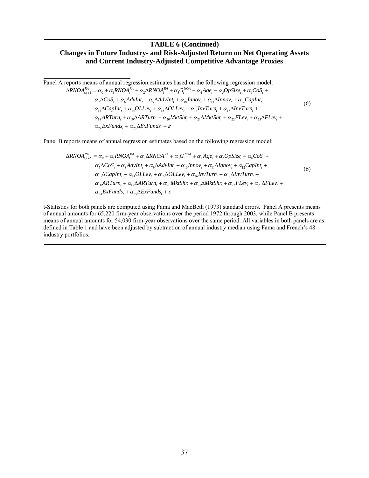### **TABLE 6 (Continued) Changes in Future Industry- and Risk-Adjusted Return on Net Operating Assets and Current Industry-Adjusted Competitive Advantage Proxies**

Panel A reports means of annual regression estimates based on the following regression model:  $\alpha_{24} \text{ExFunds}_t + \alpha_{25} \Delta \text{ExFunds}_t + \varepsilon$  $\alpha_{18}$ ARTurn<sub>t</sub></sub> +  $\alpha_{19}$  $\Delta$ ARTurn<sub>t</sub> +  $\alpha_{20}$ MktShr<sub>t</sub> +  $\alpha_{21}$  $\Delta$ MktShr<sub>t</sub> +  $\alpha_{22}$ FLev<sub>t</sub> +  $\alpha_{23}$  $\Delta$ FLev<sub>t</sub> +  $\alpha_{13}\Delta CapInt_t + \alpha_{14} OLLev_t + \alpha_{15}\Delta OLLev_t + \alpha_{16} InvTurn_t + \alpha_{17}\Delta InvTurn_t +$  $\alpha_7 \Delta \cos t + \alpha_8 \Delta \frac{dv}{dt} + \alpha_9 \Delta \frac{dv}{dt}$  $\Delta RNOA_{t,t+1}^{RA} = \alpha_0 + \alpha_1 RNOA_t^{RA} + \alpha_2 \Delta RNOA_t^{RA} + \alpha_3 G_t^{NOA} + \alpha_4 Age_t + \alpha_5 OpSize_t + \alpha_6 COS_t +$ (6)

Panel B reports means of annual regression estimates based on the following regression model:

$$
\Delta RNOA_{t,t+5}^{RA} = \alpha_0 + \alpha_1 RNOA_t^{RA} + \alpha_2 \Delta RNOA_t^{RA} + \alpha_3 G_t^{NOA} + \alpha_4 Age_t + \alpha_5 OpSize_t + \alpha_6 cos_t + \alpha_7 \Delta Cos_t + \alpha_8 AdvInt_t + \alpha_9 \Delta AdvInt_t + \alpha_{10} Innov_t + \alpha_{11} \Delta Innov_t + \alpha_{12} CapInt_t + \alpha_{13} \Delta CapInt_t + \alpha_{14} OLLev_t + \alpha_{15} \Delta OLLev_t + \alpha_{16} InvTurn_t + \alpha_{17} \Delta InvTurn_t + \alpha_{18} ARTurn_t + \alpha_{19} \Delta ARTurn_t + \alpha_{20} MktShr_t + \alpha_{21} \Delta MktShr_t + \alpha_{22} FLev_t + \alpha_{23} \Delta FLev_t + \alpha_{24} ExtFunds_t + \alpha_{25} \Delta ExtFunds_t + \varepsilon
$$
\n(6)

t-Statistics for both panels are computed using Fama and MacBeth (1973) standard errors. Panel A presents means of annual amounts for 65,220 firm-year observations over the period 1972 through 2003, while Panel B presents means of annual amounts for 54,030 firm-year observations over the same period. All variables in both panels are as defined in Table 1 and have been adjusted by subtraction of annual industry median using Fama and French's 48 industry portfolios.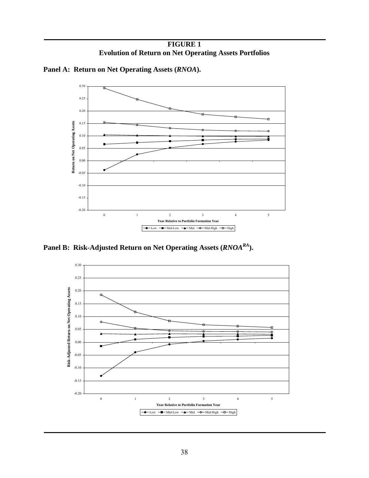**FIGURE 1 Evolution of Return on Net Operating Assets Portfolios** 



**Panel A: Return on Net Operating Assets (***RNOA***).** 

Panel B: Risk-Adjusted Return on Net Operating Assets (*RNOA<sup>RA</sup>*).

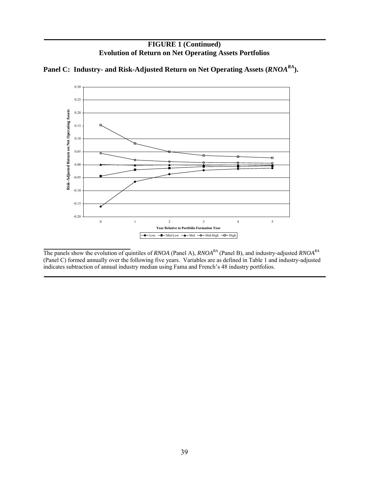



Panel C: Industry- and Risk-Adjusted Return on Net Operating Assets (*RNOA<sup>RA</sup>*).

The panels show the evolution of quintiles of *RNOA* (Panel A), *RNOARA* (Panel B), and industry-adjusted *RNOARA* (Panel C) formed annually over the following five years. Variables are as defined in Table 1 and industry-adjusted indicates subtraction of annual industry median using Fama and French's 48 industry portfolios.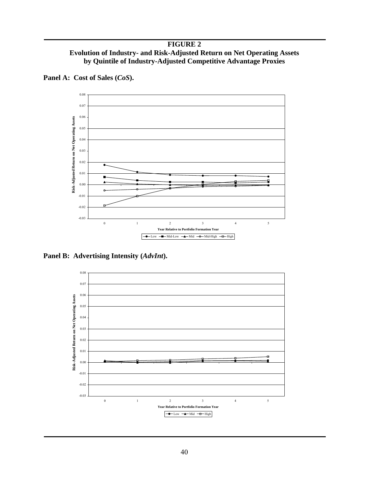**FIGURE 2 Evolution of Industry- and Risk-Adjusted Return on Net Operating Assets by Quintile of Industry-Adjusted Competitive Advantage Proxies** 



**Panel A: Cost of Sales (***CoS***).** 

**Panel B: Advertising Intensity (***AdvInt***).** 

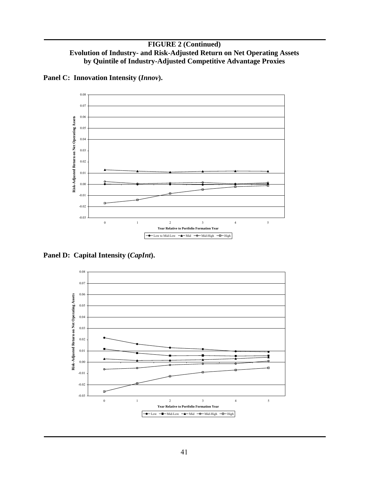

**Panel C: Innovation Intensity (***Innov***).** 

**Panel D: Capital Intensity (***CapInt***).** 

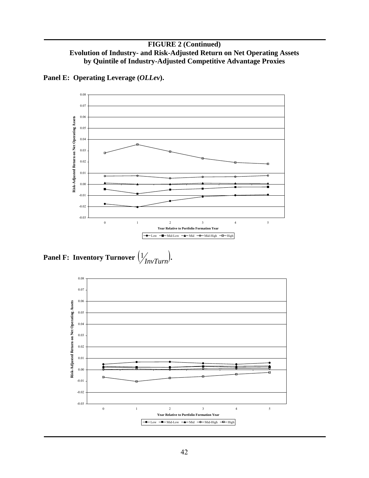

**Panel E: Operating Leverage (***OLLev***).** 

**Panel F: Inventory Turnover**  $\left(\frac{1}{2}\right)$  *InvTurn*.

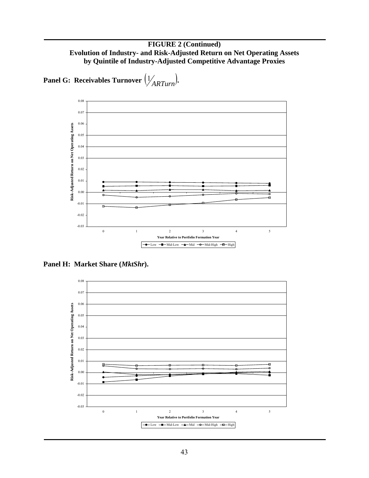

**Panel G: Receivables Turnover**  $\left(\frac{1}{ARTurn}\right)$ .

**Panel H: Market Share (***MktShr***).**